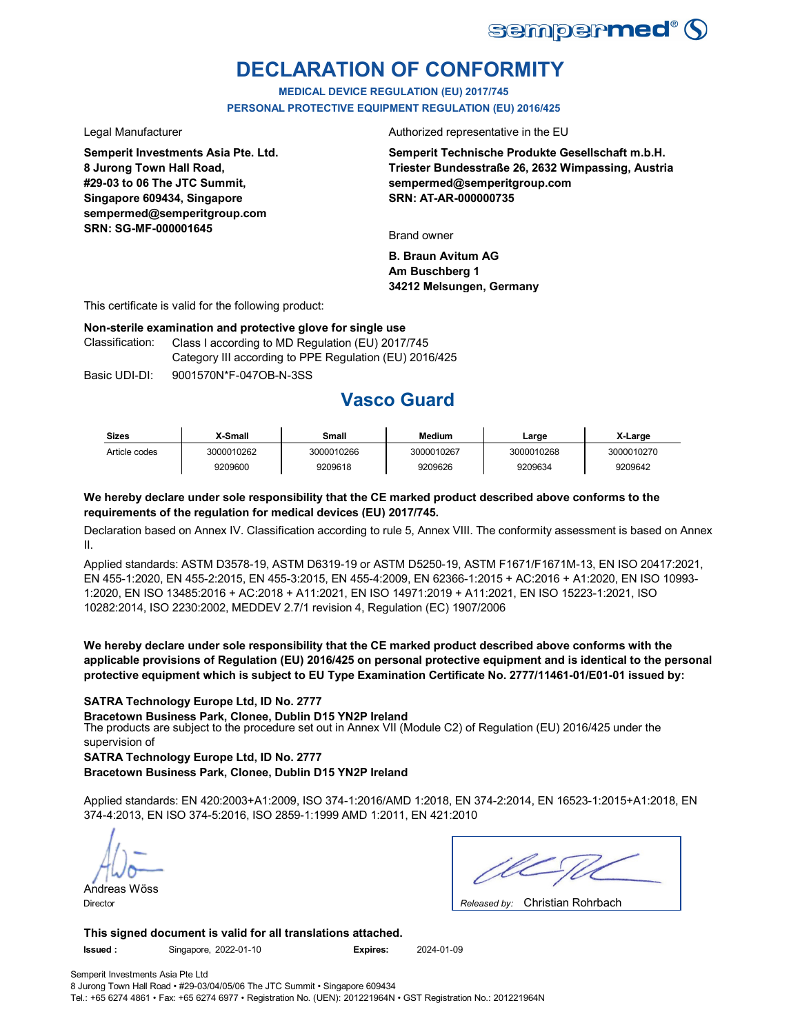

# **DECLARATION OF CONFORMITY**

**MEDICAL DEVICE REGULATION (EU) 2017/745 PERSONAL PROTECTIVE EQUIPMENT REGULATION (EU) 2016/425**

**Semperit Investments Asia Pte. Ltd. 8 Jurong Town Hall Road, #29-03 to 06 The JTC Summit, Singapore 609434, Singapore sempermed@semperitgroup.com SRN: SG-MF-000001645**

Legal Manufacturer **Authorized** representative in the EU

**Semperit Technische Produkte Gesellschaft m.b.H. Triester Bundesstraße 26, 2632 Wimpassing, Austria sempermed@semperitgroup.com SRN: AT-AR-000000735**

Brand owner

**B. Braun Avitum AG Am Buschberg 1 34212 Melsungen, Germany**

This certificate is valid for the following product:

### **Non-sterile examination and protective glove for single use**

Classification: Class I according to MD Regulation (EU) 2017/745 Category III according to PPE Regulation (EU) 2016/425

Basic UDI-DI: 9001570N\*F-047OB-N-3SS

# **Vasco Guard**

| <b>Sizes</b>  | X-Small    | Small      | Medium     | Larɑe      | X-Large    |
|---------------|------------|------------|------------|------------|------------|
| Article codes | 3000010262 | 3000010266 | 3000010267 | 3000010268 | 3000010270 |
|               | 9209600    | 9209618    | 9209626    | 9209634    | 9209642    |

### **We hereby declare under sole responsibility that the CE marked product described above conforms to the requirements of the regulation for medical devices (EU) 2017/745.**

Declaration based on Annex IV. Classification according to rule 5, Annex VIII. The conformity assessment is based on Annex II.

Applied standards: ASTM D3578-19, ASTM D6319-19 or ASTM D5250-19, ASTM F1671/F1671M-13, EN ISO 20417:2021, EN 455-1:2020, EN 455-2:2015, EN 455-3:2015, EN 455-4:2009, EN 62366-1:2015 + AC:2016 + A1:2020, EN ISO 10993- 1:2020, EN ISO 13485:2016 + AC:2018 + A11:2021, EN ISO 14971:2019 + A11:2021, EN ISO 15223-1:2021, ISO 10282:2014, ISO 2230:2002, MEDDEV 2.7/1 revision 4, Regulation (EC) 1907/2006

**We hereby declare under sole responsibility that the CE marked product described above conforms with the applicable provisions of Regulation (EU) 2016/425 on personal protective equipment and is identical to the personal protective equipment which is subject to EU Type Examination Certificate No. 2777/11461-01/E01-01 issued by:**

### **SATRA Technology Europe Ltd, ID No. 2777**

The products are subject to the procedure set out in Annex VII (Module C2) of Regulation (EU) 2016/425 under the supervision of **Bracetown Business Park, Clonee, Dublin D15 YN2P Ireland**

**SATRA Technology Europe Ltd, ID No. 2777**

**Bracetown Business Park, Clonee, Dublin D15 YN2P Ireland**

Applied standards: EN 420:2003+A1:2009, ISO 374-1:2016/AMD 1:2018, EN 374-2:2014, EN 16523-1:2015+A1:2018, EN 374-4:2013, EN ISO 374-5:2016, ISO 2859-1:1999 AMD 1:2011, EN 421:2010

Andreas Wöss

Christian Rohrbach Director *Released by:* 

**This signed document is valid for all translations attached. Issued :** Singapore, 2022-01-10 **Expires:** 2024-01-09

Semperit Investments Asia Pte Ltd 8 Jurong Town Hall Road • #29-03/04/05/06 The JTC Summit • Singapore 609434 Tel.: +65 6274 4861 • Fax: +65 6274 6977 • Registration No. (UEN): 201221964N • GST Registration No.: 201221964N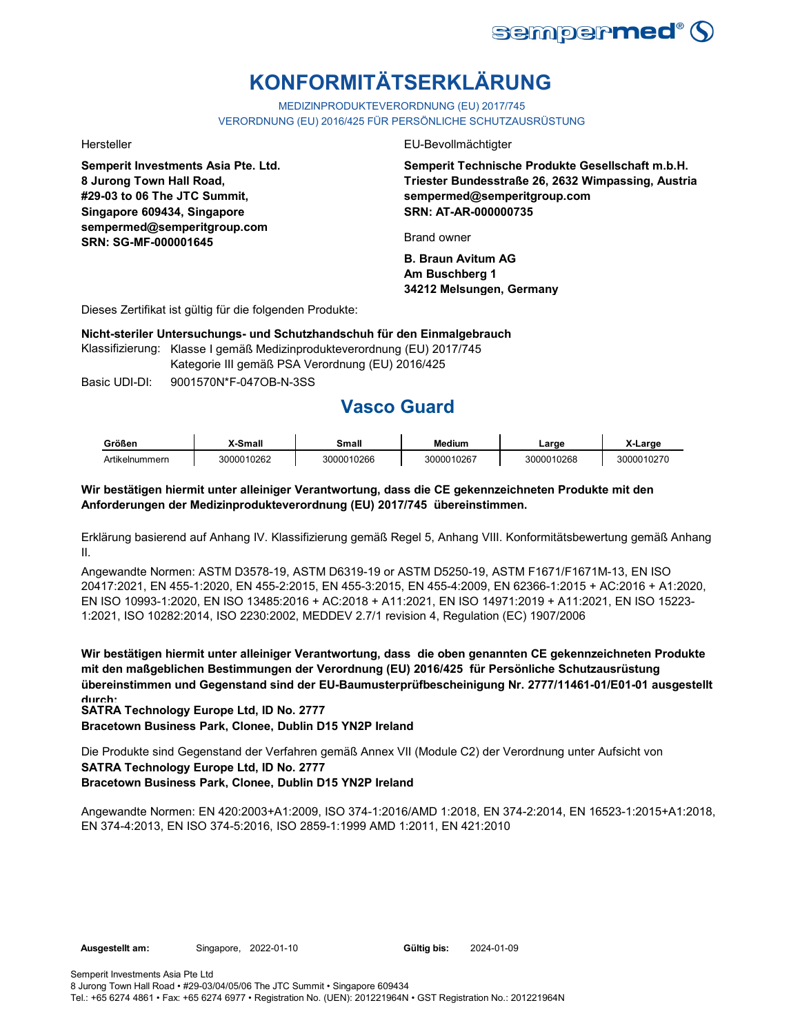

# **KONFORMITÄTSERKLÄRUNG**

MEDIZINPRODUKTEVERORDNUNG (EU) 2017/745

VERORDNUNG (EU) 2016/425 FÜR PERSÖNLICHE SCHUTZAUSRÜSTUNG

**Semperit Investments Asia Pte. Ltd. 8 Jurong Town Hall Road, #29-03 to 06 The JTC Summit, Singapore 609434, Singapore sempermed@semperitgroup.com SRN: SG-MF-000001645**

Hersteller EU-Bevollmächtigter

**Semperit Technische Produkte Gesellschaft m.b.H. Triester Bundesstraße 26, 2632 Wimpassing, Austria sempermed@semperitgroup.com SRN: AT-AR-000000735**

Brand owner

**B. Braun Avitum AG Am Buschberg 1 34212 Melsungen, Germany**

Dieses Zertifikat ist gültig für die folgenden Produkte:

**Nicht-steriler Untersuchungs- und Schutzhandschuh für den Einmalgebrauch**

Klassifizierung: Klasse I gemäß Medizinprodukteverordnung (EU) 2017/745 Kategorie III gemäß PSA Verordnung (EU) 2016/425

Basic UDI-DI: 9001570N\*F-047OB-N-3SS

# **Vasco Guard**

| Größen         | ,X-Small   | Small      | Medium     | ∟arɑe      | X-Large    |
|----------------|------------|------------|------------|------------|------------|
| Artikelnummern | 3000010262 | 3000010266 | 3000010267 | 3000010268 | 3000010270 |

### **Wir bestätigen hiermit unter alleiniger Verantwortung, dass die CE gekennzeichneten Produkte mit den Anforderungen der Medizinprodukteverordnung (EU) 2017/745 übereinstimmen.**

Erklärung basierend auf Anhang IV. Klassifizierung gemäß Regel 5, Anhang VIII. Konformitätsbewertung gemäß Anhang II.

Angewandte Normen: ASTM D3578-19, ASTM D6319-19 or ASTM D5250-19, ASTM F1671/F1671M-13, EN ISO 20417:2021, EN 455-1:2020, EN 455-2:2015, EN 455-3:2015, EN 455-4:2009, EN 62366-1:2015 + AC:2016 + A1:2020, EN ISO 10993-1:2020, EN ISO 13485:2016 + AC:2018 + A11:2021, EN ISO 14971:2019 + A11:2021, EN ISO 15223- 1:2021, ISO 10282:2014, ISO 2230:2002, MEDDEV 2.7/1 revision 4, Regulation (EC) 1907/2006

**Wir bestätigen hiermit unter alleiniger Verantwortung, dass die oben genannten CE gekennzeichneten Produkte mit den maßgeblichen Bestimmungen der Verordnung (EU) 2016/425 für Persönliche Schutzausrüstung übereinstimmen und Gegenstand sind der EU-Baumusterprüfbescheinigung Nr. 2777/11461-01/E01-01 ausgestellt durch:**

**SATRA Technology Europe Ltd, ID No. 2777**

**Bracetown Business Park, Clonee, Dublin D15 YN2P Ireland**

**SATRA Technology Europe Ltd, ID No. 2777 Bracetown Business Park, Clonee, Dublin D15 YN2P Ireland** Die Produkte sind Gegenstand der Verfahren gemäß Annex VII (Module C2) der Verordnung unter Aufsicht von

Angewandte Normen: EN 420:2003+A1:2009, ISO 374-1:2016/AMD 1:2018, EN 374-2:2014, EN 16523-1:2015+A1:2018, EN 374-4:2013, EN ISO 374-5:2016, ISO 2859-1:1999 AMD 1:2011, EN 421:2010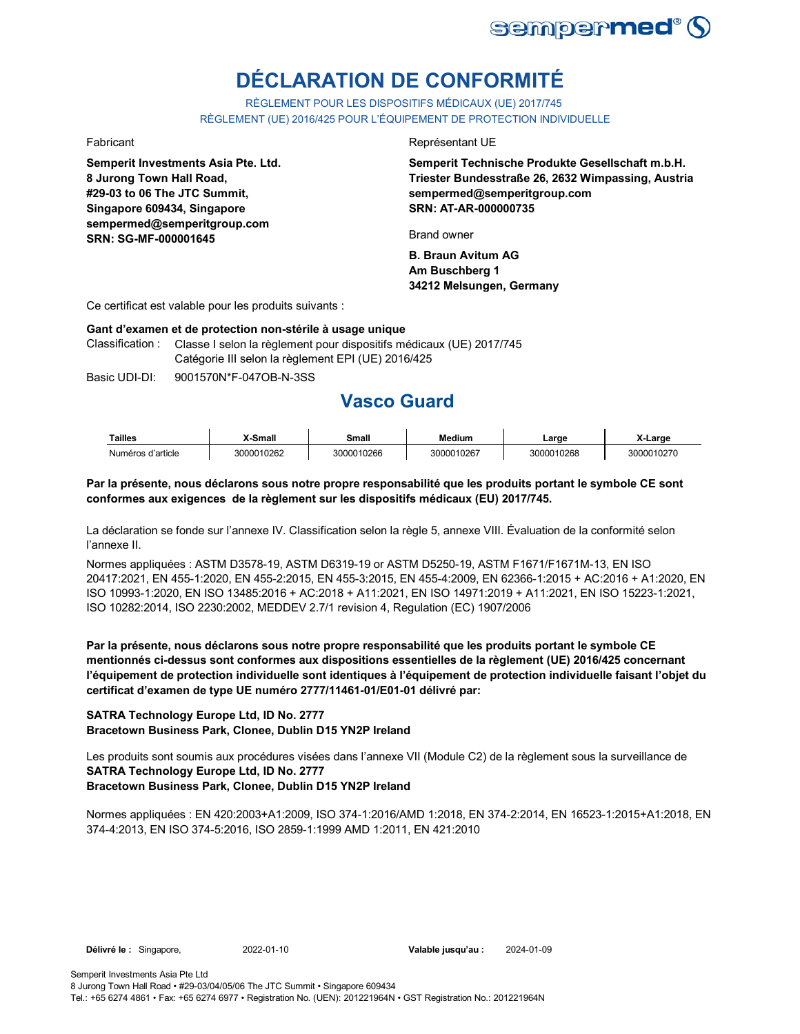

# **DÉCLARATION DE CONFORMITÉ**

RÈGLEMENT POUR LES DISPOSITIFS MÉDICAUX (UE) 2017/745 RÈGLEMENT (UE) 2016/425 POUR L'ÉQUIPEMENT DE PROTECTION INDIVIDUELLE

**Semperit Investments Asia Pte. Ltd. 8 Jurong Town Hall Road, #29-03 to 06 The JTC Summit, Singapore 609434, Singapore sempermed@semperitgroup.com SRN: SG-MF-000001645**

### Fabricant **Exercise Exercise Exercise Exercise Exercise Exercise Exercise Exercise Exercise Exercise Exercise**

**Semperit Technische Produkte Gesellschaft m.b.H. Triester Bundesstraße 26, 2632 Wimpassing, Austria sempermed@semperitgroup.com SRN: AT-AR-000000735**

Brand owner

**B. Braun Avitum AG Am Buschberg 1 34212 Melsungen, Germany**

Ce certificat est valable pour les produits suivants :

### **Gant d'examen et de protection non-stérile à usage unique**

Classification : Classe I selon la règlement pour dispositifs médicaux (UE) 2017/745 Catégorie III selon la règlement EPI (UE) 2016/425

Basic UDI-DI: 9001570N\*F-047OB-N-3SS

## **Vasco Guard**

| <b>Tailles</b>    | (-Small    | Small      | <b>Medium</b> | ∟arɑe      | -Large     |
|-------------------|------------|------------|---------------|------------|------------|
| Numéros d'article | 3000010262 | 3000010266 | 3000010267    | 3000010268 | 3000010270 |

### **Par la présente, nous déclarons sous notre propre responsabilité que les produits portant le symbole CE sont conformes aux exigences de la règlement sur les dispositifs médicaux (EU) 2017/745.**

La déclaration se fonde sur l'annexe IV. Classification selon la règle 5, annexe VIII. Évaluation de la conformité selon l'annexe II.

Normes appliquées : ASTM D3578-19, ASTM D6319-19 or ASTM D5250-19, ASTM F1671/F1671M-13, EN ISO 20417:2021, EN 455-1:2020, EN 455-2:2015, EN 455-3:2015, EN 455-4:2009, EN 62366-1:2015 + AC:2016 + A1:2020, EN ISO 10993-1:2020, EN ISO 13485:2016 + AC:2018 + A11:2021, EN ISO 14971:2019 + A11:2021, EN ISO 15223-1:2021, ISO 10282:2014, ISO 2230:2002, MEDDEV 2.7/1 revision 4, Regulation (EC) 1907/2006

**Par la présente, nous déclarons sous notre propre responsabilité que les produits portant le symbole CE mentionnés ci-dessus sont conformes aux dispositions essentielles de la règlement (UE) 2016/425 concernant l'équipement de protection individuelle sont identiques à l'équipement de protection individuelle faisant l'objet du certificat d'examen de type UE numéro 2777/11461-01/E01-01 délivré par:**

## **SATRA Technology Europe Ltd, ID No. 2777**

**Bracetown Business Park, Clonee, Dublin D15 YN2P Ireland**

**SATRA Technology Europe Ltd, ID No. 2777** Les produits sont soumis aux procédures visées dans l'annexe VII (Module C2) de la règlement sous la surveillance de

### **Bracetown Business Park, Clonee, Dublin D15 YN2P Ireland**

Normes appliquées : EN 420:2003+A1:2009, ISO 374-1:2016/AMD 1:2018, EN 374-2:2014, EN 16523-1:2015+A1:2018, EN 374-4:2013, EN ISO 374-5:2016, ISO 2859-1:1999 AMD 1:2011, EN 421:2010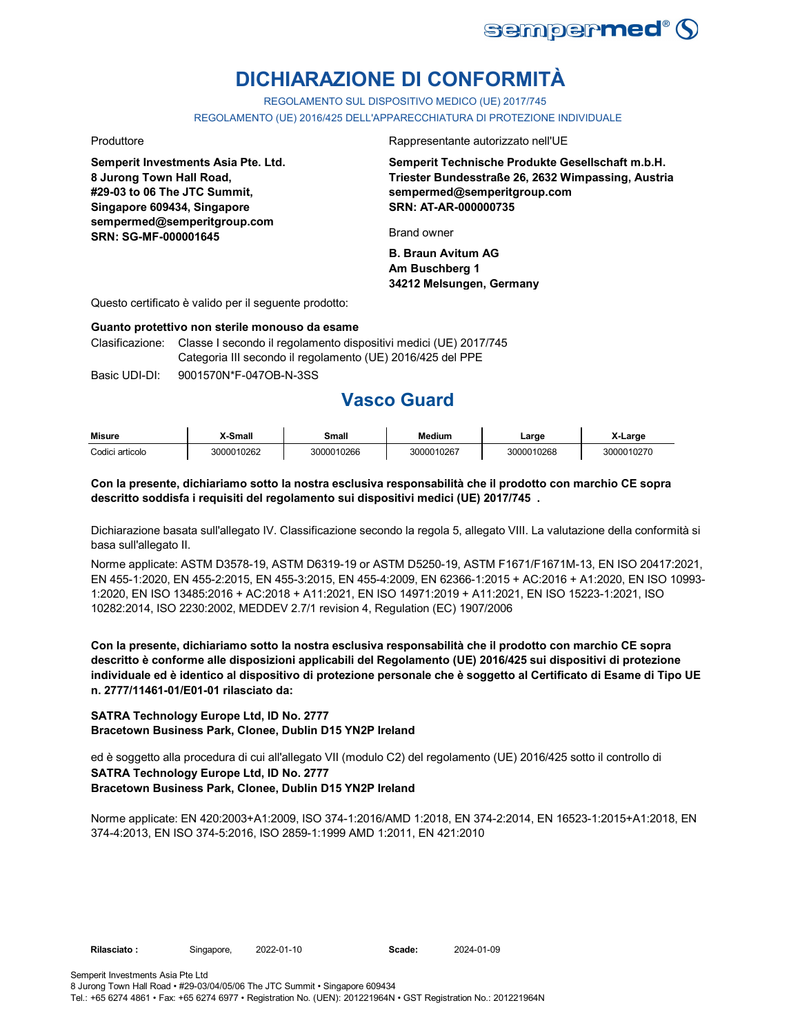

# **DICHIARAZIONE DI CONFORMITÀ**

REGOLAMENTO SUL DISPOSITIVO MEDICO (UE) 2017/745

REGOLAMENTO (UE) 2016/425 DELL'APPARECCHIATURA DI PROTEZIONE INDIVIDUALE

**Semperit Investments Asia Pte. Ltd. 8 Jurong Town Hall Road, #29-03 to 06 The JTC Summit, Singapore 609434, Singapore sempermed@semperitgroup.com SRN: SG-MF-000001645**

Produttore **Rappresentante autorizzato nell'UE** 

**Semperit Technische Produkte Gesellschaft m.b.H. Triester Bundesstraße 26, 2632 Wimpassing, Austria sempermed@semperitgroup.com SRN: AT-AR-000000735**

Brand owner

**B. Braun Avitum AG Am Buschberg 1 34212 Melsungen, Germany**

Questo certificato è valido per il seguente prodotto:

### **Guanto protettivo non sterile monouso da esame**

Clasificazione: Classe I secondo il regolamento dispositivi medici (UE) 2017/745 Categoria III secondo il regolamento (UE) 2016/425 del PPE

Basic UDI-DI: 9001570N\*F-047OB-N-3SS

# **Vasco Guard**

| <b>Misure</b>   | X-Small    | Small      | Medium     | Large      | X-Large    |
|-----------------|------------|------------|------------|------------|------------|
| Codici articolo | 3000010262 | 3000010266 | 3000010267 | 3000010268 | 3000010270 |

### **Con la presente, dichiariamo sotto la nostra esclusiva responsabilità che il prodotto con marchio CE sopra descritto soddisfa i requisiti del regolamento sui dispositivi medici (UE) 2017/745 .**

Dichiarazione basata sull'allegato IV. Classificazione secondo la regola 5, allegato VIII. La valutazione della conformità si basa sull'allegato II.

Norme applicate: ASTM D3578-19, ASTM D6319-19 or ASTM D5250-19, ASTM F1671/F1671M-13, EN ISO 20417:2021, EN 455-1:2020, EN 455-2:2015, EN 455-3:2015, EN 455-4:2009, EN 62366-1:2015 + AC:2016 + A1:2020, EN ISO 10993- 1:2020, EN ISO 13485:2016 + AC:2018 + A11:2021, EN ISO 14971:2019 + A11:2021, EN ISO 15223-1:2021, ISO 10282:2014, ISO 2230:2002, MEDDEV 2.7/1 revision 4, Regulation (EC) 1907/2006

**Con la presente, dichiariamo sotto la nostra esclusiva responsabilità che il prodotto con marchio CE sopra descritto è conforme alle disposizioni applicabili del Regolamento (UE) 2016/425 sui dispositivi di protezione individuale ed è identico al dispositivo di protezione personale che è soggetto al Certificato di Esame di Tipo UE n. 2777/11461-01/E01-01 rilasciato da:**

### **SATRA Technology Europe Ltd, ID No. 2777 Bracetown Business Park, Clonee, Dublin D15 YN2P Ireland**

**SATRA Technology Europe Ltd, ID No. 2777 Bracetown Business Park, Clonee, Dublin D15 YN2P Ireland** ed è soggetto alla procedura di cui all'allegato VII (modulo C2) del regolamento (UE) 2016/425 sotto il controllo di

Norme applicate: EN 420:2003+A1:2009, ISO 374-1:2016/AMD 1:2018, EN 374-2:2014, EN 16523-1:2015+A1:2018, EN 374-4:2013, EN ISO 374-5:2016, ISO 2859-1:1999 AMD 1:2011, EN 421:2010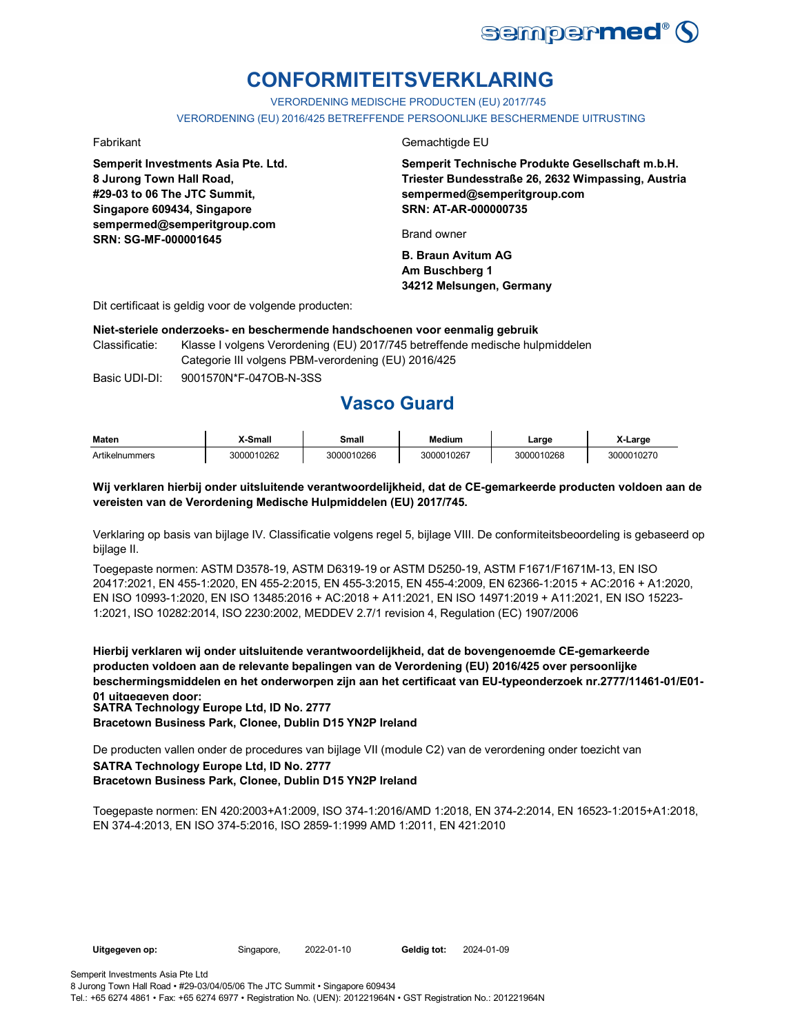

# **CONFORMITEITSVERKLARING**

VERORDENING MEDISCHE PRODUCTEN (EU) 2017/745

VERORDENING (EU) 2016/425 BETREFFENDE PERSOONLIJKE BESCHERMENDE UITRUSTING

**Semperit Investments Asia Pte. Ltd. 8 Jurong Town Hall Road, #29-03 to 06 The JTC Summit, Singapore 609434, Singapore sempermed@semperitgroup.com SRN: SG-MF-000001645**

### Fabrikant Gemachtigde EU

**Semperit Technische Produkte Gesellschaft m.b.H. Triester Bundesstraße 26, 2632 Wimpassing, Austria sempermed@semperitgroup.com SRN: AT-AR-000000735**

Brand owner

**B. Braun Avitum AG Am Buschberg 1 34212 Melsungen, Germany**

Dit certificaat is geldig voor de volgende producten:

### **Niet-steriele onderzoeks- en beschermende handschoenen voor eenmalig gebruik**

Classificatie: Klasse I volgens Verordening (EU) 2017/745 betreffende medische hulpmiddelen Categorie III volgens PBM-verordening (EU) 2016/425

Basic UDI-DI: 9001570N\*F-047OB-N-3SS

# **Vasco Guard**

| Maten          | X-Small    | Small      | <b>Medium</b> | Large      | X-Larɑe    |
|----------------|------------|------------|---------------|------------|------------|
| Artikelnummers | 3000010262 | 3000010266 | 3000010267    | 3000010268 | 3000010270 |

### **Wij verklaren hierbij onder uitsluitende verantwoordelijkheid, dat de CE-gemarkeerde producten voldoen aan de vereisten van de Verordening Medische Hulpmiddelen (EU) 2017/745.**

Verklaring op basis van bijlage IV. Classificatie volgens regel 5, bijlage VIII. De conformiteitsbeoordeling is gebaseerd op bijlage II.

Toegepaste normen: ASTM D3578-19, ASTM D6319-19 or ASTM D5250-19, ASTM F1671/F1671M-13, EN ISO 20417:2021, EN 455-1:2020, EN 455-2:2015, EN 455-3:2015, EN 455-4:2009, EN 62366-1:2015 + AC:2016 + A1:2020, EN ISO 10993-1:2020, EN ISO 13485:2016 + AC:2018 + A11:2021, EN ISO 14971:2019 + A11:2021, EN ISO 15223- 1:2021, ISO 10282:2014, ISO 2230:2002, MEDDEV 2.7/1 revision 4, Regulation (EC) 1907/2006

**Hierbij verklaren wij onder uitsluitende verantwoordelijkheid, dat de bovengenoemde CE-gemarkeerde producten voldoen aan de relevante bepalingen van de Verordening (EU) 2016/425 over persoonlijke beschermingsmiddelen en het onderworpen zijn aan het certificaat van EU-typeonderzoek nr.2777/11461-01/E01- 01 uitgegeven door: SATRA Technology Europe Ltd, ID No. 2777**

**Bracetown Business Park, Clonee, Dublin D15 YN2P Ireland**

**SATRA Technology Europe Ltd, ID No. 2777 Bracetown Business Park, Clonee, Dublin D15 YN2P Ireland** De producten vallen onder de procedures van bijlage VII (module C2) van de verordening onder toezicht van

Toegepaste normen: EN 420:2003+A1:2009, ISO 374-1:2016/AMD 1:2018, EN 374-2:2014, EN 16523-1:2015+A1:2018, EN 374-4:2013, EN ISO 374-5:2016, ISO 2859-1:1999 AMD 1:2011, EN 421:2010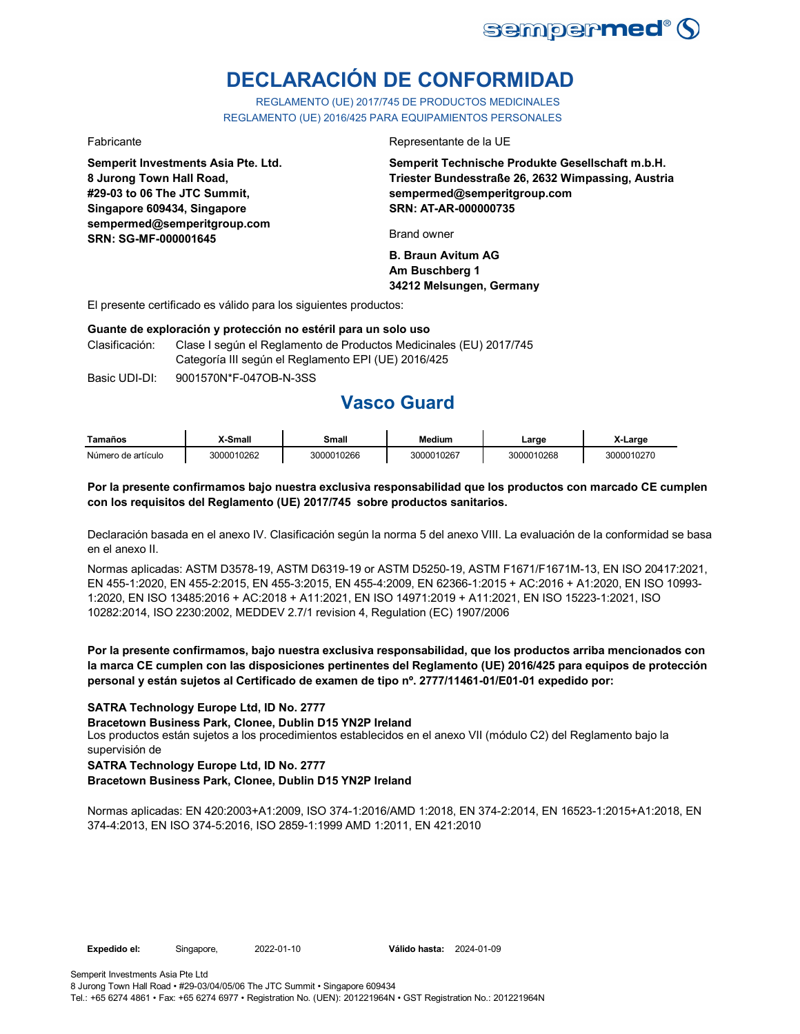

# **DECLARACIÓN DE CONFORMIDAD**

REGLAMENTO (UE) 2017/745 DE PRODUCTOS MEDICINALES REGLAMENTO (UE) 2016/425 PARA EQUIPAMIENTOS PERSONALES

**Semperit Investments Asia Pte. Ltd. 8 Jurong Town Hall Road, #29-03 to 06 The JTC Summit, Singapore 609434, Singapore sempermed@semperitgroup.com SRN: SG-MF-000001645**

### Fabricante Representante de la UE

**Semperit Technische Produkte Gesellschaft m.b.H. Triester Bundesstraße 26, 2632 Wimpassing, Austria sempermed@semperitgroup.com SRN: AT-AR-000000735**

Brand owner

**B. Braun Avitum AG Am Buschberg 1 34212 Melsungen, Germany**

El presente certificado es válido para los siguientes productos:

### **Guante de exploración y protección no estéril para un solo uso**

Clasificación: Clase I según el Reglamento de Productos Medicinales (EU) 2017/745 Categoría III según el Reglamento EPI (UE) 2016/425

Basic UDI-DI:  $9001570N*F-047OR-N-3SS$ 

# **Vasco Guard**

| Tamaños            | X-Small    | Small      | Medium     | Large      | X-Large    |
|--------------------|------------|------------|------------|------------|------------|
| Número de artículo | 3000010262 | 3000010266 | 3000010267 | 3000010268 | 3000010270 |

### **Por la presente confirmamos bajo nuestra exclusiva responsabilidad que los productos con marcado CE cumplen con los requisitos del Reglamento (UE) 2017/745 sobre productos sanitarios.**

Declaración basada en el anexo IV. Clasificación según la norma 5 del anexo VIII. La evaluación de la conformidad se basa en el anexo II.

Normas aplicadas: ASTM D3578-19, ASTM D6319-19 or ASTM D5250-19, ASTM F1671/F1671M-13, EN ISO 20417:2021, EN 455-1:2020, EN 455-2:2015, EN 455-3:2015, EN 455-4:2009, EN 62366-1:2015 + AC:2016 + A1:2020, EN ISO 10993- 1:2020, EN ISO 13485:2016 + AC:2018 + A11:2021, EN ISO 14971:2019 + A11:2021, EN ISO 15223-1:2021, ISO 10282:2014, ISO 2230:2002, MEDDEV 2.7/1 revision 4, Regulation (EC) 1907/2006

### **Por la presente confirmamos, bajo nuestra exclusiva responsabilidad, que los productos arriba mencionados con la marca CE cumplen con las disposiciones pertinentes del Reglamento (UE) 2016/425 para equipos de protección personal y están sujetos al Certificado de examen de tipo nº. 2777/11461-01/E01-01 expedido por:**

### **SATRA Technology Europe Ltd, ID No. 2777**

**Bracetown Business Park, Clonee, Dublin D15 YN2P Ireland**

Los productos están sujetos a los procedimientos establecidos en el anexo VII (módulo C2) del Reglamento bajo la supervisión de

## **SATRA Technology Europe Ltd, ID No. 2777**

**Bracetown Business Park, Clonee, Dublin D15 YN2P Ireland**

Normas aplicadas: EN 420:2003+A1:2009, ISO 374-1:2016/AMD 1:2018, EN 374-2:2014, EN 16523-1:2015+A1:2018, EN 374-4:2013, EN ISO 374-5:2016, ISO 2859-1:1999 AMD 1:2011, EN 421:2010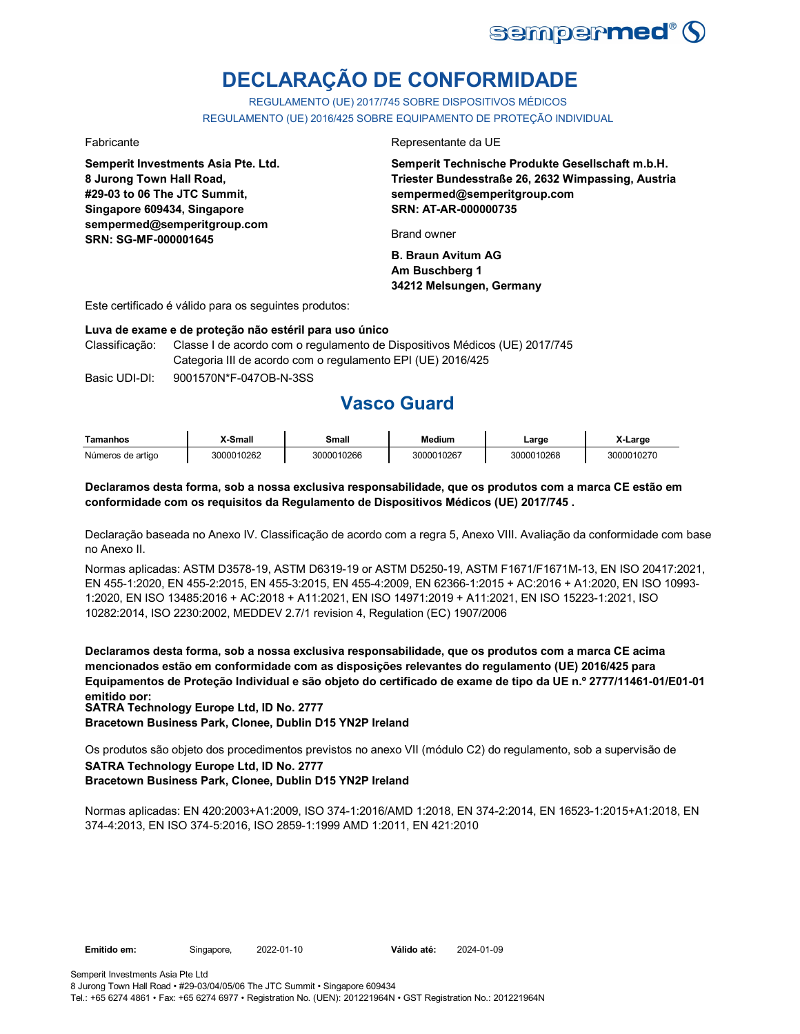

# **DECLARAÇÃO DE CONFORMIDADE**

REGULAMENTO (UE) 2017/745 SOBRE DISPOSITIVOS MÉDICOS REGULAMENTO (UE) 2016/425 SOBRE EQUIPAMENTO DE PROTEÇÃO INDIVIDUAL

**Semperit Investments Asia Pte. Ltd. 8 Jurong Town Hall Road, #29-03 to 06 The JTC Summit, Singapore 609434, Singapore sempermed@semperitgroup.com SRN: SG-MF-000001645**

### Fabricante Representante da UE

**Semperit Technische Produkte Gesellschaft m.b.H. Triester Bundesstraße 26, 2632 Wimpassing, Austria sempermed@semperitgroup.com SRN: AT-AR-000000735**

Brand owner

**B. Braun Avitum AG Am Buschberg 1 34212 Melsungen, Germany**

Este certificado é válido para os seguintes produtos:

### **Luva de exame e de proteção não estéril para uso único**

Classificação: Classe I de acordo com o regulamento de Dispositivos Médicos (UE) 2017/745 Categoria III de acordo com o regulamento EPI (UE) 2016/425

Basic UDI-DI: 9001570N\*F-047OB-N-3SS

# **Vasco Guard**

| Tamanhos          | X-Small    | Small      | <b>Medium</b> | ∟arge      | X-Large    |
|-------------------|------------|------------|---------------|------------|------------|
| Números de artigo | 3000010262 | 3000010266 | 3000010267    | 3000010268 | 3000010270 |

### **Declaramos desta forma, sob a nossa exclusiva responsabilidade, que os produtos com a marca CE estão em conformidade com os requisitos da Regulamento de Dispositivos Médicos (UE) 2017/745 .**

Declaração baseada no Anexo IV. Classificação de acordo com a regra 5, Anexo VIII. Avaliação da conformidade com base no Anexo II.

Normas aplicadas: ASTM D3578-19, ASTM D6319-19 or ASTM D5250-19, ASTM F1671/F1671M-13, EN ISO 20417:2021, EN 455-1:2020, EN 455-2:2015, EN 455-3:2015, EN 455-4:2009, EN 62366-1:2015 + AC:2016 + A1:2020, EN ISO 10993- 1:2020, EN ISO 13485:2016 + AC:2018 + A11:2021, EN ISO 14971:2019 + A11:2021, EN ISO 15223-1:2021, ISO 10282:2014, ISO 2230:2002, MEDDEV 2.7/1 revision 4, Regulation (EC) 1907/2006

**Declaramos desta forma, sob a nossa exclusiva responsabilidade, que os produtos com a marca CE acima mencionados estão em conformidade com as disposições relevantes do regulamento (UE) 2016/425 para Equipamentos de Proteção Individual e são objeto do certificado de exame de tipo da UE n.º 2777/11461-01/E01-01 emitido por: SATRA Technology Europe Ltd, ID No. 2777**

**Bracetown Business Park, Clonee, Dublin D15 YN2P Ireland**

**SATRA Technology Europe Ltd, ID No. 2777** Os produtos são objeto dos procedimentos previstos no anexo VII (módulo C2) do regulamento, sob a supervisão de

### **Bracetown Business Park, Clonee, Dublin D15 YN2P Ireland**

Normas aplicadas: EN 420:2003+A1:2009, ISO 374-1:2016/AMD 1:2018, EN 374-2:2014, EN 16523-1:2015+A1:2018, EN 374-4:2013, EN ISO 374-5:2016, ISO 2859-1:1999 AMD 1:2011, EN 421:2010

Tel.: +65 6274 4861 • Fax: +65 6274 6977 • Registration No. (UEN): 201221964N • GST Registration No.: 201221964N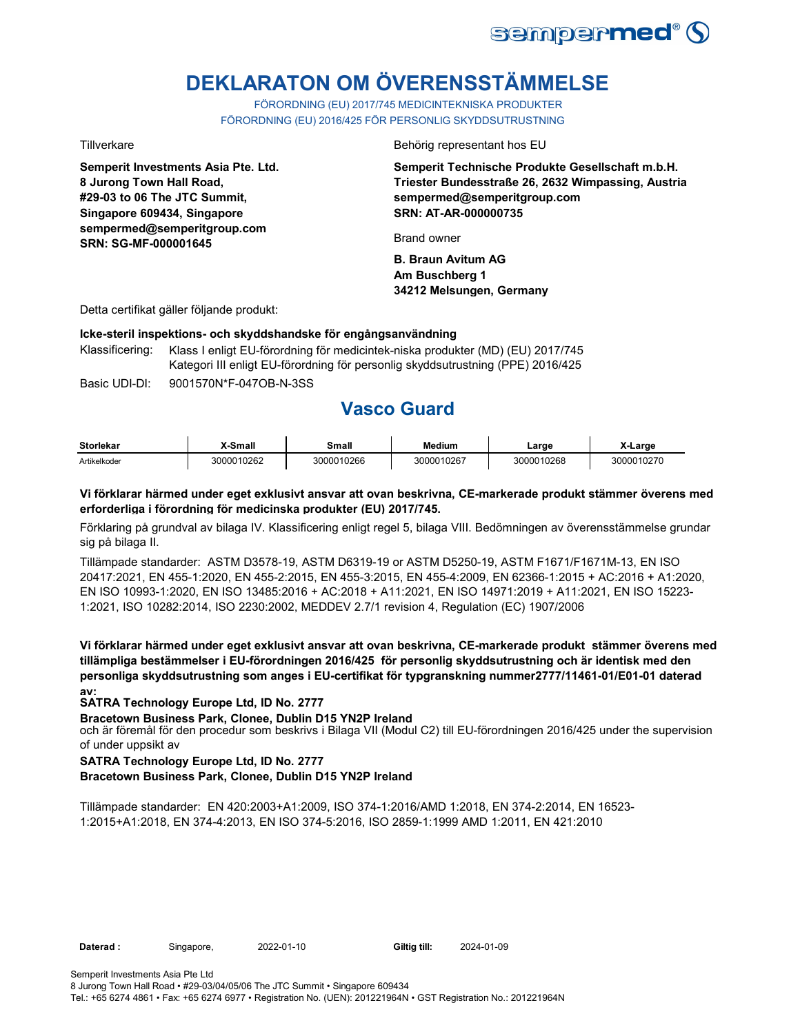

# **DEKLARATON OM ÖVERENSSTÄMMELSE**

FÖRORDNING (EU) 2017/745 MEDICINTEKNISKA PRODUKTER FÖRORDNING (EU) 2016/425 FÖR PERSONLIG SKYDDSUTRUSTNING

**Semperit Investments Asia Pte. Ltd. 8 Jurong Town Hall Road, #29-03 to 06 The JTC Summit, Singapore 609434, Singapore sempermed@semperitgroup.com SRN: SG-MF-000001645**

Tillverkare Behörig representant hos EU

**Semperit Technische Produkte Gesellschaft m.b.H. Triester Bundesstraße 26, 2632 Wimpassing, Austria sempermed@semperitgroup.com SRN: AT-AR-000000735**

Brand owner

**B. Braun Avitum AG Am Buschberg 1 34212 Melsungen, Germany**

Detta certifikat gäller följande produkt:

### **Icke-steril inspektions- och skyddshandske för engångsanvändning**

Basic UDI-DI: 9001570N\*F-047OB-N-3SS Klassificering: Klass I enligt EU-förordning för medicintek-niska produkter (MD) (EU) 2017/745 Kategori III enligt EU-förordning för personlig skyddsutrustning (PPE) 2016/425

**Vasco Guard** 

| <b>Storlekar</b> | X-Small    | Small      | <b>Medium</b> | ∟arge      | X-Large    |
|------------------|------------|------------|---------------|------------|------------|
| Artikelkoder     | 3000010262 | 3000010266 | 3000010267    | 3000010268 | 3000010270 |

### **Vi förklarar härmed under eget exklusivt ansvar att ovan beskrivna, CE-markerade produkt stämmer överens med erforderliga i förordning för medicinska produkter (EU) 2017/745.**

Förklaring på grundval av bilaga IV. Klassificering enligt regel 5, bilaga VIII. Bedömningen av överensstämmelse grundar sig på bilaga II.

Tillämpade standarder: ASTM D3578-19, ASTM D6319-19 or ASTM D5250-19, ASTM F1671/F1671M-13, EN ISO 20417:2021, EN 455-1:2020, EN 455-2:2015, EN 455-3:2015, EN 455-4:2009, EN 62366-1:2015 + AC:2016 + A1:2020, EN ISO 10993-1:2020, EN ISO 13485:2016 + AC:2018 + A11:2021, EN ISO 14971:2019 + A11:2021, EN ISO 15223- 1:2021, ISO 10282:2014, ISO 2230:2002, MEDDEV 2.7/1 revision 4, Regulation (EC) 1907/2006

**Vi förklarar härmed under eget exklusivt ansvar att ovan beskrivna, CE-markerade produkt stämmer överens med tillämpliga bestämmelser i EU-förordningen 2016/425 för personlig skyddsutrustning och är identisk med den personliga skyddsutrustning som anges i EU-certifikat för typgranskning nummer2777/11461-01/E01-01 daterad av:**

### **SATRA Technology Europe Ltd, ID No. 2777**

**Bracetown Business Park, Clonee, Dublin D15 YN2P Ireland**

och är föremål för den procedur som beskrivs i Bilaga VII (Modul C2) till EU-förordningen 2016/425 under the supervision of under uppsikt av

### **SATRA Technology Europe Ltd, ID No. 2777**

### **Bracetown Business Park, Clonee, Dublin D15 YN2P Ireland**

Tillämpade standarder: EN 420:2003+A1:2009, ISO 374-1:2016/AMD 1:2018, EN 374-2:2014, EN 16523- 1:2015+A1:2018, EN 374-4:2013, EN ISO 374-5:2016, ISO 2859-1:1999 AMD 1:2011, EN 421:2010

**Daterad :** Singapore, 2022-01-10 **Giltig till:** 2024-01-09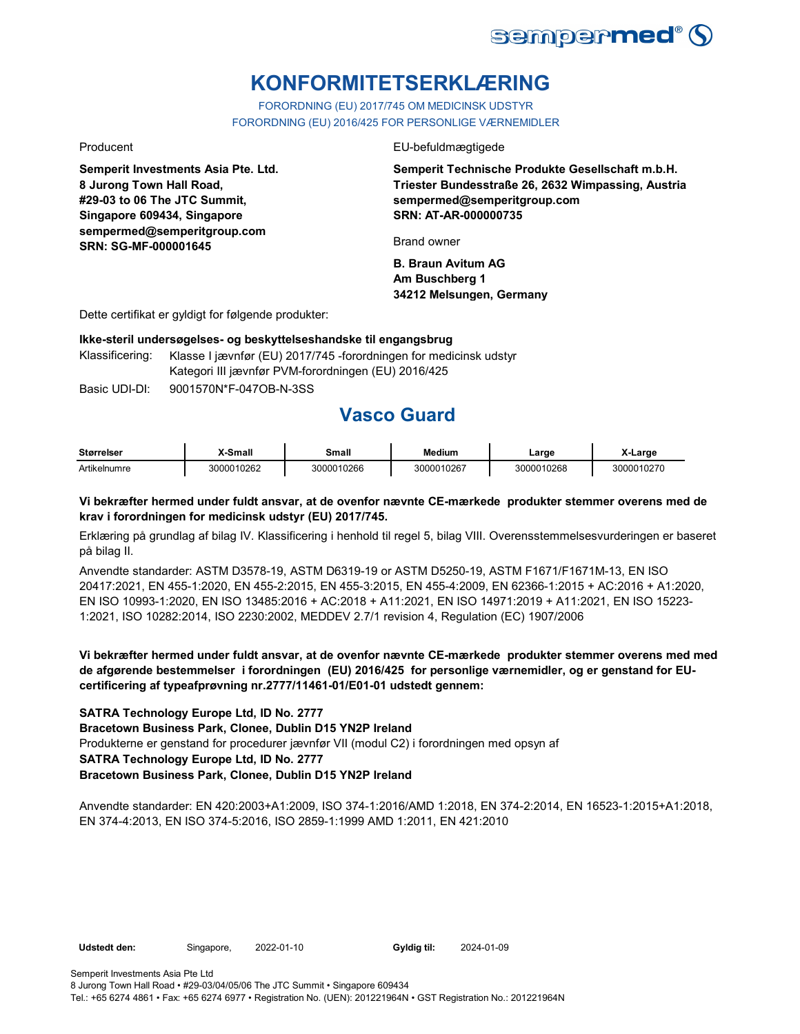

# **KONFORMITETSERKLÆRING**

FORORDNING (EU) 2017/745 OM MEDICINSK UDSTYR FORORDNING (EU) 2016/425 FOR PERSONLIGE VÆRNEMIDLER

**Semperit Investments Asia Pte. Ltd. 8 Jurong Town Hall Road, #29-03 to 06 The JTC Summit, Singapore 609434, Singapore sempermed@semperitgroup.com SRN: SG-MF-000001645**

Producent EU-befuldmægtigede

**Semperit Technische Produkte Gesellschaft m.b.H. Triester Bundesstraße 26, 2632 Wimpassing, Austria sempermed@semperitgroup.com SRN: AT-AR-000000735**

Brand owner

**B. Braun Avitum AG Am Buschberg 1 34212 Melsungen, Germany**

Dette certifikat er gyldigt for følgende produkter:

### **Ikke-steril undersøgelses- og beskyttelseshandske til engangsbrug**

Klassificering: Klasse I jævnfør (EU) 2017/745 -forordningen for medicinsk udstyr Kategori III jævnfør PVM-forordningen (EU) 2016/425

Basic UDI-DI: 9001570N\*F-047OB-N-3SS

# **Vasco Guard**

| <b>Størrelser</b> | X-Small    | Small      | <b>Medium</b> | _arge      | X-Large    |
|-------------------|------------|------------|---------------|------------|------------|
| Artikelnumre      | 3000010262 | 3000010266 | 3000010267    | 3000010268 | 3000010270 |

### **Vi bekræfter hermed under fuldt ansvar, at de ovenfor nævnte CE-mærkede produkter stemmer overens med de krav i forordningen for medicinsk udstyr (EU) 2017/745.**

Erklæring på grundlag af bilag IV. Klassificering i henhold til regel 5, bilag VIII. Overensstemmelsesvurderingen er baseret på bilag II.

Anvendte standarder: ASTM D3578-19, ASTM D6319-19 or ASTM D5250-19, ASTM F1671/F1671M-13, EN ISO 20417:2021, EN 455-1:2020, EN 455-2:2015, EN 455-3:2015, EN 455-4:2009, EN 62366-1:2015 + AC:2016 + A1:2020, EN ISO 10993-1:2020, EN ISO 13485:2016 + AC:2018 + A11:2021, EN ISO 14971:2019 + A11:2021, EN ISO 15223- 1:2021, ISO 10282:2014, ISO 2230:2002, MEDDEV 2.7/1 revision 4, Regulation (EC) 1907/2006

**Vi bekræfter hermed under fuldt ansvar, at de ovenfor nævnte CE-mærkede produkter stemmer overens med med de afgørende bestemmelser i forordningen (EU) 2016/425 for personlige værnemidler, og er genstand for EUcertificering af typeafprøvning nr.2777/11461-01/E01-01 udstedt gennem:**

### **SATRA Technology Europe Ltd, ID No. 2777**

**Bracetown Business Park, Clonee, Dublin D15 YN2P Ireland**

Produkterne er genstand for procedurer jævnfør VII (modul C2) i forordningen med opsyn af

## **SATRA Technology Europe Ltd, ID No. 2777**

### **Bracetown Business Park, Clonee, Dublin D15 YN2P Ireland**

Anvendte standarder: EN 420:2003+A1:2009, ISO 374-1:2016/AMD 1:2018, EN 374-2:2014, EN 16523-1:2015+A1:2018, EN 374-4:2013, EN ISO 374-5:2016, ISO 2859-1:1999 AMD 1:2011, EN 421:2010

**Udstedt den:** Singapore, 2022-01-10 **Gyldig til:** 2024-01-09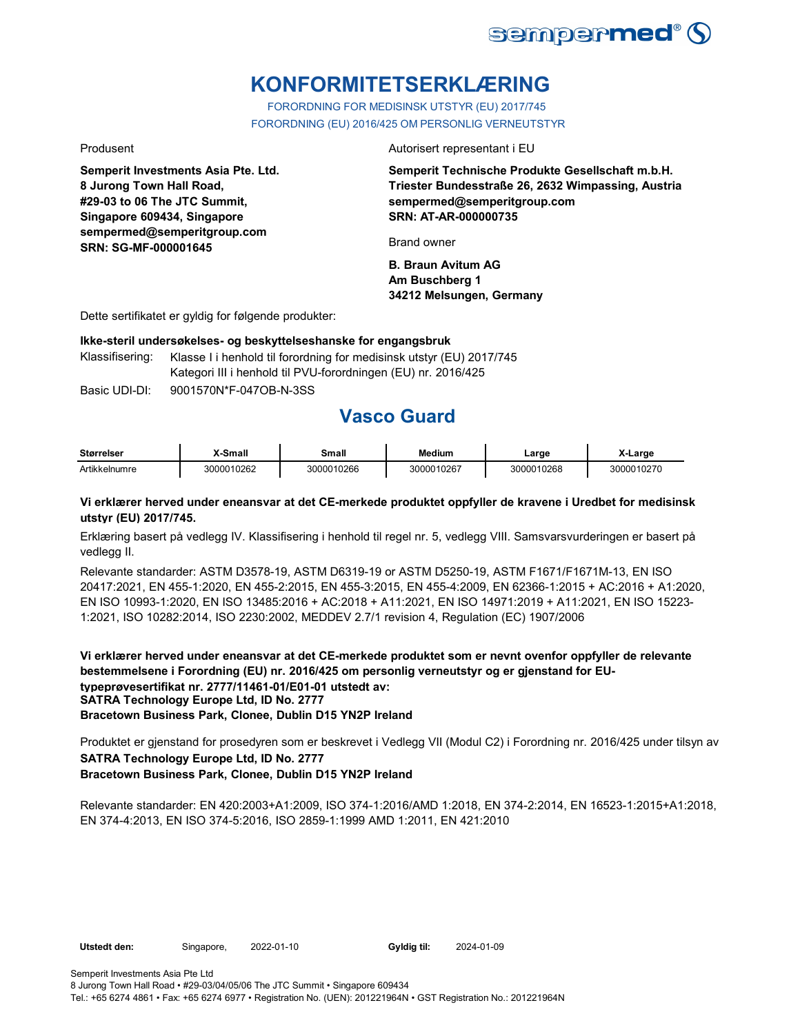

# **KONFORMITETSERKLÆRING**

FORORDNING FOR MEDISINSK UTSTYR (EU) 2017/745 FORORDNING (EU) 2016/425 OM PERSONLIG VERNEUTSTYR

**Semperit Investments Asia Pte. Ltd. 8 Jurong Town Hall Road, #29-03 to 06 The JTC Summit, Singapore 609434, Singapore sempermed@semperitgroup.com SRN: SG-MF-000001645**

Produsent **Autorisert representant i EU** 

**Semperit Technische Produkte Gesellschaft m.b.H. Triester Bundesstraße 26, 2632 Wimpassing, Austria sempermed@semperitgroup.com SRN: AT-AR-000000735**

Brand owner

**B. Braun Avitum AG Am Buschberg 1 34212 Melsungen, Germany**

Dette sertifikatet er gyldig for følgende produkter:

**Ikke-steril undersøkelses- og beskyttelseshanske for engangsbruk**

Klassifisering: Klasse I i henhold til forordning for medisinsk utstyr (EU) 2017/745 Kategori III i henhold til PVU-forordningen (EU) nr. 2016/425

Basic UDI-DI: 9001570N\*F-047OB-N-3SS

# **Vasco Guard**

| <b>Størrelser</b> | X-Small    | Small      | <b>Medium</b> | ∟arge      | X-Large    |
|-------------------|------------|------------|---------------|------------|------------|
| Artikkelnumre     | 3000010262 | 3000010266 | 3000010267    | 3000010268 | 3000010270 |

### **Vi erklærer herved under eneansvar at det CE-merkede produktet oppfyller de kravene i Uredbet for medisinsk utstyr (EU) 2017/745.**

Erklæring basert på vedlegg IV. Klassifisering i henhold til regel nr. 5, vedlegg VIII. Samsvarsvurderingen er basert på vedlegg II.

Relevante standarder: ASTM D3578-19, ASTM D6319-19 or ASTM D5250-19, ASTM F1671/F1671M-13, EN ISO 20417:2021, EN 455-1:2020, EN 455-2:2015, EN 455-3:2015, EN 455-4:2009, EN 62366-1:2015 + AC:2016 + A1:2020, EN ISO 10993-1:2020, EN ISO 13485:2016 + AC:2018 + A11:2021, EN ISO 14971:2019 + A11:2021, EN ISO 15223- 1:2021, ISO 10282:2014, ISO 2230:2002, MEDDEV 2.7/1 revision 4, Regulation (EC) 1907/2006

**Vi erklærer herved under eneansvar at det CE-merkede produktet som er nevnt ovenfor oppfyller de relevante bestemmelsene i Forordning (EU) nr. 2016/425 om personlig verneutstyr og er gjenstand for EUtypeprøvesertifikat nr. 2777/11461-01/E01-01 utstedt av: SATRA Technology Europe Ltd, ID No. 2777 Bracetown Business Park, Clonee, Dublin D15 YN2P Ireland**

**SATRA Technology Europe Ltd, ID No. 2777 Bracetown Business Park, Clonee, Dublin D15 YN2P Ireland** Produktet er gjenstand for prosedyren som er beskrevet i Vedlegg VII (Modul C2) i Forordning nr. 2016/425 under tilsyn av

Relevante standarder: EN 420:2003+A1:2009, ISO 374-1:2016/AMD 1:2018, EN 374-2:2014, EN 16523-1:2015+A1:2018, EN 374-4:2013, EN ISO 374-5:2016, ISO 2859-1:1999 AMD 1:2011, EN 421:2010

**Utstedt den:** Singapore, 2022-01-10 **Gyldig til:** 2024-01-09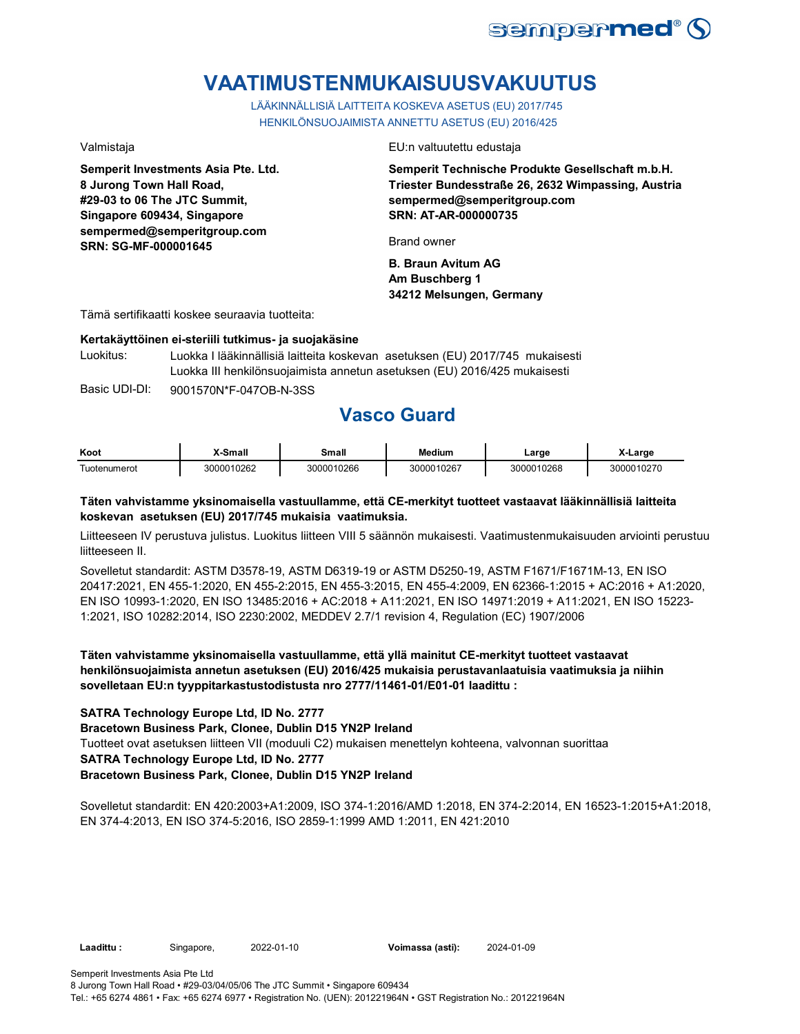

# **VAATIMUSTENMUKAISUUSVAKUUTUS**

LÄÄKINNÄLLISIÄ LAITTEITA KOSKEVA ASETUS (EU) 2017/745 HENKILÖNSUOJAIMISTA ANNETTU ASETUS (EU) 2016/425

**Semperit Investments Asia Pte. Ltd. 8 Jurong Town Hall Road, #29-03 to 06 The JTC Summit, Singapore 609434, Singapore sempermed@semperitgroup.com SRN: SG-MF-000001645**

Valmistaja EU:n valtuutettu edustaja

**Semperit Technische Produkte Gesellschaft m.b.H. Triester Bundesstraße 26, 2632 Wimpassing, Austria sempermed@semperitgroup.com SRN: AT-AR-000000735**

Brand owner

**B. Braun Avitum AG Am Buschberg 1 34212 Melsungen, Germany**

Tämä sertifikaatti koskee seuraavia tuotteita:

### **Kertakäyttöinen ei-steriili tutkimus- ja suojakäsine**

Luokitus: Luokka I lääkinnällisiä laitteita koskevan asetuksen (EU) 2017/745 mukaisesti Luokka III henkilönsuojaimista annetun asetuksen (EU) 2016/425 mukaisesti

Basic UDI-DI: 9001570N\*F-047OB-N-3SS

# **Vasco Guard**

| Koot                | <b>⊱Small</b> | Small      | <b>Medium</b> | Large      | X-Large    |
|---------------------|---------------|------------|---------------|------------|------------|
| <b>Fuotenumerot</b> | 3000010262    | 3000010266 | 3000010267    | 3000010268 | 3000010270 |

### **Täten vahvistamme yksinomaisella vastuullamme, että CE-merkityt tuotteet vastaavat lääkinnällisiä laitteita koskevan asetuksen (EU) 2017/745 mukaisia vaatimuksia.**

Liitteeseen IV perustuva julistus. Luokitus liitteen VIII 5 säännön mukaisesti. Vaatimustenmukaisuuden arviointi perustuu liitteeseen II.

Sovelletut standardit: ASTM D3578-19, ASTM D6319-19 or ASTM D5250-19, ASTM F1671/F1671M-13, EN ISO 20417:2021, EN 455-1:2020, EN 455-2:2015, EN 455-3:2015, EN 455-4:2009, EN 62366-1:2015 + AC:2016 + A1:2020, EN ISO 10993-1:2020, EN ISO 13485:2016 + AC:2018 + A11:2021, EN ISO 14971:2019 + A11:2021, EN ISO 15223- 1:2021, ISO 10282:2014, ISO 2230:2002, MEDDEV 2.7/1 revision 4, Regulation (EC) 1907/2006

**Täten vahvistamme yksinomaisella vastuullamme, että yllä mainitut CE-merkityt tuotteet vastaavat henkilönsuojaimista annetun asetuksen (EU) 2016/425 mukaisia perustavanlaatuisia vaatimuksia ja niihin sovelletaan EU:n tyyppitarkastustodistusta nro 2777/11461-01/E01-01 laadittu :**

### **SATRA Technology Europe Ltd, ID No. 2777**

**Bracetown Business Park, Clonee, Dublin D15 YN2P Ireland**

Tuotteet ovat asetuksen liitteen VII (moduuli C2) mukaisen menettelyn kohteena, valvonnan suorittaa

## **SATRA Technology Europe Ltd, ID No. 2777**

### **Bracetown Business Park, Clonee, Dublin D15 YN2P Ireland**

Sovelletut standardit: EN 420:2003+A1:2009, ISO 374-1:2016/AMD 1:2018, EN 374-2:2014, EN 16523-1:2015+A1:2018, EN 374-4:2013, EN ISO 374-5:2016, ISO 2859-1:1999 AMD 1:2011, EN 421:2010

**Laadittu :** Singapore, 2022-01-10 **Voimassa (asti):** 2024-01-09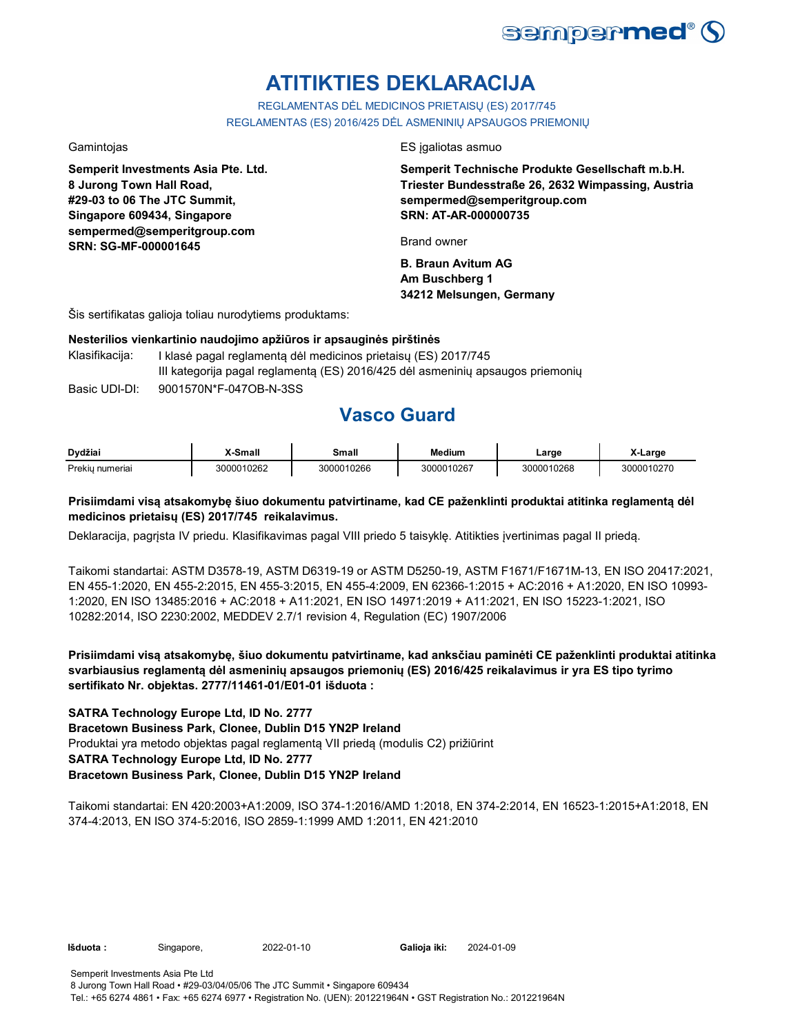

# **ATITIKTIES DEKLARACIJA**

REGLAMENTAS DĖL MEDICINOS PRIETAISŲ (ES) 2017/745 REGLAMENTAS (ES) 2016/425 DĖL ASMENINIŲ APSAUGOS PRIEMONIŲ

**Semperit Investments Asia Pte. Ltd. 8 Jurong Town Hall Road, #29-03 to 06 The JTC Summit, Singapore 609434, Singapore sempermed@semperitgroup.com SRN: SG-MF-000001645**

Gamintojas ES įgaliotas asmuo

**Semperit Technische Produkte Gesellschaft m.b.H. Triester Bundesstraße 26, 2632 Wimpassing, Austria sempermed@semperitgroup.com SRN: AT-AR-000000735**

Brand owner

**B. Braun Avitum AG Am Buschberg 1 34212 Melsungen, Germany**

Šis sertifikatas galioja toliau nurodytiems produktams:

### **Nesterilios vienkartinio naudojimo apžiūros ir apsauginės pirštinės**

Basic UDI-DI: 9001570N\*F-047OB-N-3SS Klasifikacija: I klasė pagal reglamentą dėl medicinos prietaisų (ES) 2017/745 III kategorija pagal reglamentą (ES) 2016/425 dėl asmeninių apsaugos priemonių

## **Vasco Guard**

| Dvdžiai           | Small      | Small      | Medium     | ∟arge      | _arɑe                            |
|-------------------|------------|------------|------------|------------|----------------------------------|
| Prekiu.<br>umeria | 3000010262 | 3000010266 | 3000010267 | 3000010268 | ົ <sup></sup> ົາ10270<br>ำ∩∩∩1ı. |

### **Prisiimdami visą atsakomybę šiuo dokumentu patvirtiname, kad CE paženklinti produktai atitinka reglamentą dėl medicinos prietaisų (ES) 2017/745 reikalavimus.**

Deklaracija, pagrįsta IV priedu. Klasifikavimas pagal VIII priedo 5 taisyklę. Atitikties įvertinimas pagal II priedą.

Taikomi standartai: ASTM D3578-19, ASTM D6319-19 or ASTM D5250-19, ASTM F1671/F1671M-13, EN ISO 20417:2021, EN 455-1:2020, EN 455-2:2015, EN 455-3:2015, EN 455-4:2009, EN 62366-1:2015 + AC:2016 + A1:2020, EN ISO 10993- 1:2020, EN ISO 13485:2016 + AC:2018 + A11:2021, EN ISO 14971:2019 + A11:2021, EN ISO 15223-1:2021, ISO 10282:2014, ISO 2230:2002, MEDDEV 2.7/1 revision 4, Regulation (EC) 1907/2006

**Prisiimdami visą atsakomybę, šiuo dokumentu patvirtiname, kad anksčiau paminėti CE paženklinti produktai atitinka svarbiausius reglamentą dėl asmeninių apsaugos priemonių (ES) 2016/425 reikalavimus ir yra ES tipo tyrimo sertifikato Nr. objektas. 2777/11461-01/E01-01 išduota :**

### **SATRA Technology Europe Ltd, ID No. 2777**

**Bracetown Business Park, Clonee, Dublin D15 YN2P Ireland**

Produktai yra metodo objektas pagal reglamentą VII priedą (modulis C2) prižiūrint

## **SATRA Technology Europe Ltd, ID No. 2777**

### **Bracetown Business Park, Clonee, Dublin D15 YN2P Ireland**

Taikomi standartai: EN 420:2003+A1:2009, ISO 374-1:2016/AMD 1:2018, EN 374-2:2014, EN 16523-1:2015+A1:2018, EN 374-4:2013, EN ISO 374-5:2016, ISO 2859-1:1999 AMD 1:2011, EN 421:2010

**Išduota :** Singapore, 2022-01-10 **Galioja iki:** 2024-01-09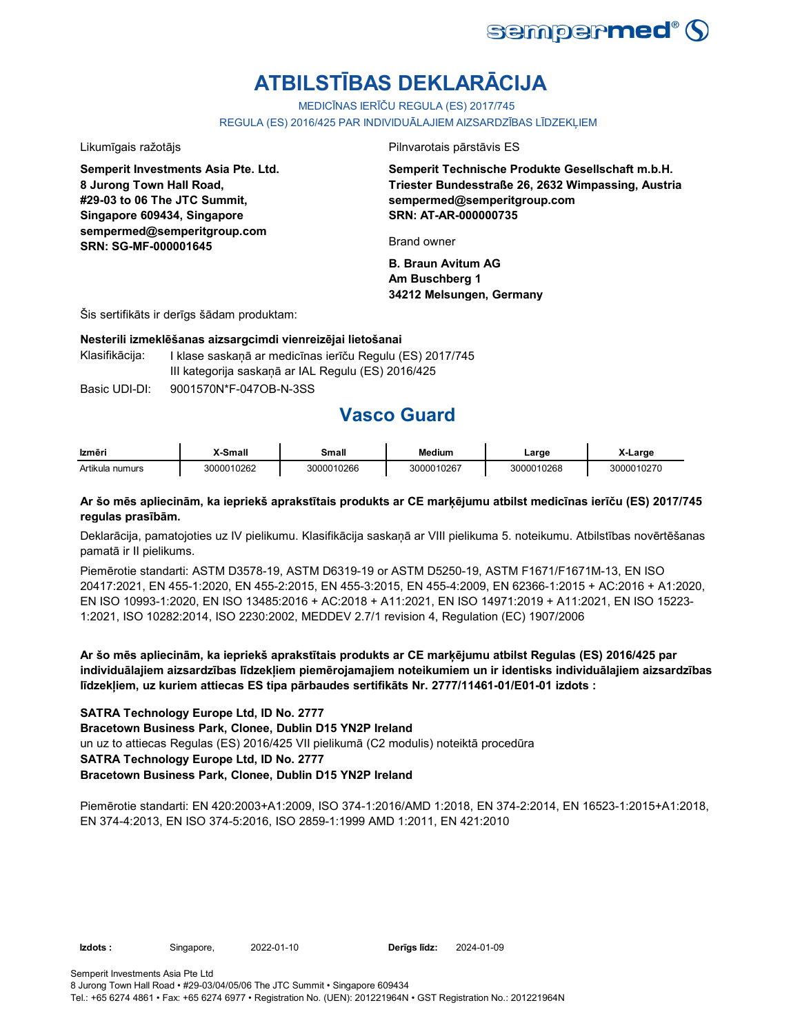

# **ATBILSTĪBAS DEKLARĀCIJA**

MEDICĪNAS IERĪČU REGULA (ES) 2017/745

REGULA (ES) 2016/425 PAR INDIVIDUĀLAJIEM AIZSARDZĪBAS LĪDZEKĻIEM

**Semperit Investments Asia Pte. Ltd. 8 Jurong Town Hall Road, #29-03 to 06 The JTC Summit, Singapore 609434, Singapore sempermed@semperitgroup.com SRN: SG-MF-000001645**

Likumīgais ražotājs Pilnvarotais pārstāvis ES

**Semperit Technische Produkte Gesellschaft m.b.H. Triester Bundesstraße 26, 2632 Wimpassing, Austria sempermed@semperitgroup.com SRN: AT-AR-000000735**

Brand owner

**B. Braun Avitum AG Am Buschberg 1 34212 Melsungen, Germany**

Šis sertifikāts ir derīgs šādam produktam:

### **Nesterili izmeklēšanas aizsargcimdi vienreizējai lietošanai**

Klasifikācija: I klase saskaņā ar medicīnas ierīču Regulu (ES) 2017/745 III kategorija saskaņā ar IAL Regulu (ES) 2016/425

Basic UDI-DI: 9001570N\*F-047OB-N-3SS

# **Vasco Guard**

| Izmēri          | X-Small    | Small      | <b>Medium</b> | Large      | X-Large    |
|-----------------|------------|------------|---------------|------------|------------|
| Artikula numurs | 3000010262 | 3000010266 | 3000010267    | 3000010268 | 3000010270 |

### **Ar šo mēs apliecinām, ka iepriekš aprakstītais produkts ar CE marķējumu atbilst medicīnas ierīču (ES) 2017/745 regulas prasībām.**

Deklarācija, pamatojoties uz IV pielikumu. Klasifikācija saskaņā ar VIII pielikuma 5. noteikumu. Atbilstības novērtēšanas pamatā ir II pielikums.

Piemērotie standarti: ASTM D3578-19, ASTM D6319-19 or ASTM D5250-19, ASTM F1671/F1671M-13, EN ISO 20417:2021, EN 455-1:2020, EN 455-2:2015, EN 455-3:2015, EN 455-4:2009, EN 62366-1:2015 + AC:2016 + A1:2020, EN ISO 10993-1:2020, EN ISO 13485:2016 + AC:2018 + A11:2021, EN ISO 14971:2019 + A11:2021, EN ISO 15223- 1:2021, ISO 10282:2014, ISO 2230:2002, MEDDEV 2.7/1 revision 4, Regulation (EC) 1907/2006

**Ar šo mēs apliecinām, ka iepriekš aprakstītais produkts ar CE marķējumu atbilst Regulas (ES) 2016/425 par individuālajiem aizsardzības līdzekļiem piemērojamajiem noteikumiem un ir identisks individuālajiem aizsardzības līdzekļiem, uz kuriem attiecas ES tipa pārbaudes sertifikāts Nr. 2777/11461-01/E01-01 izdots :**

### **SATRA Technology Europe Ltd, ID No. 2777**

**Bracetown Business Park, Clonee, Dublin D15 YN2P Ireland**

un uz to attiecas Regulas (ES) 2016/425 VII pielikumā (C2 modulis) noteiktā procedūra

### **SATRA Technology Europe Ltd, ID No. 2777**

### **Bracetown Business Park, Clonee, Dublin D15 YN2P Ireland**

Piemērotie standarti: EN 420:2003+A1:2009, ISO 374-1:2016/AMD 1:2018, EN 374-2:2014, EN 16523-1:2015+A1:2018, EN 374-4:2013, EN ISO 374-5:2016, ISO 2859-1:1999 AMD 1:2011, EN 421:2010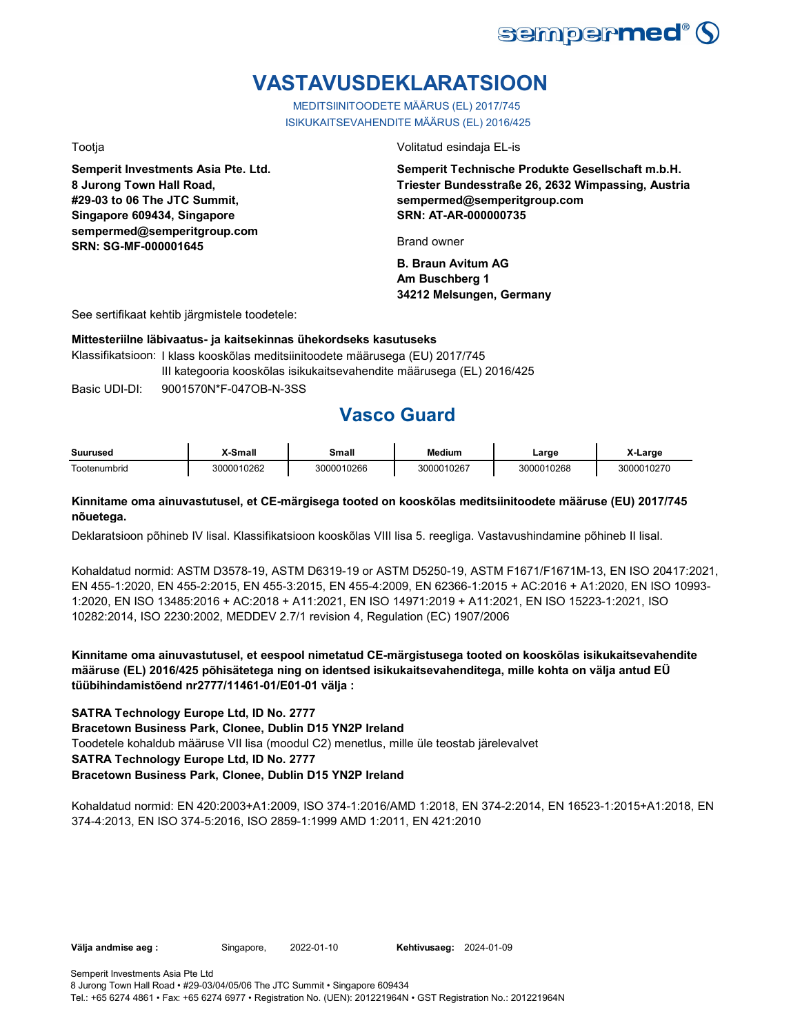

# **VASTAVUSDEKLARATSIOON**

MEDITSIINITOODETE MÄÄRUS (EL) 2017/745 ISIKUKAITSEVAHENDITE MÄÄRUS (EL) 2016/425

**Semperit Investments Asia Pte. Ltd. 8 Jurong Town Hall Road, #29-03 to 06 The JTC Summit, Singapore 609434, Singapore sempermed@semperitgroup.com SRN: SG-MF-000001645**

Tootja Volitatud esindaja EL-is

**Semperit Technische Produkte Gesellschaft m.b.H. Triester Bundesstraße 26, 2632 Wimpassing, Austria sempermed@semperitgroup.com SRN: AT-AR-000000735**

Brand owner

**B. Braun Avitum AG Am Buschberg 1 34212 Melsungen, Germany**

See sertifikaat kehtib järgmistele toodetele:

### **Mittesteriilne läbivaatus- ja kaitsekinnas ühekordseks kasutuseks**

Basic UDI-DI: 9001570N\*F-047OB-N-3SS Klassifikatsioon: I klass kooskõlas meditsiinitoodete määrusega (EU) 2017/745 III kategooria kooskõlas isikukaitsevahendite määrusega (EL) 2016/425

# **Vasco Guard**

| <b>Suurusec</b>                                | <br><b>Cmab</b> | <b>Small</b> | Medium             | _arge       | _arge          |
|------------------------------------------------|-----------------|--------------|--------------------|-------------|----------------|
| $\overline{\phantom{a}}$<br>umbrid.<br>'ooten. | J10262          | 10266        | 0267<br>ำกา<br>חחד | 10268<br>ነበ | 10270<br>30000 |

### **Kinnitame oma ainuvastutusel, et CE-märgisega tooted on kooskõlas meditsiinitoodete määruse (EU) 2017/745 nõuetega.**

Deklaratsioon põhineb IV lisal. Klassifikatsioon kooskõlas VIII lisa 5. reegliga. Vastavushindamine põhineb II lisal.

Kohaldatud normid: ASTM D3578-19, ASTM D6319-19 or ASTM D5250-19, ASTM F1671/F1671M-13, EN ISO 20417:2021, EN 455-1:2020, EN 455-2:2015, EN 455-3:2015, EN 455-4:2009, EN 62366-1:2015 + AC:2016 + A1:2020, EN ISO 10993- 1:2020, EN ISO 13485:2016 + AC:2018 + A11:2021, EN ISO 14971:2019 + A11:2021, EN ISO 15223-1:2021, ISO 10282:2014, ISO 2230:2002, MEDDEV 2.7/1 revision 4, Regulation (EC) 1907/2006

**Kinnitame oma ainuvastutusel, et eespool nimetatud CE-märgistusega tooted on kooskõlas isikukaitsevahendite määruse (EL) 2016/425 põhisätetega ning on identsed isikukaitsevahenditega, mille kohta on välja antud EÜ tüübihindamistõend nr2777/11461-01/E01-01 välja :**

### **SATRA Technology Europe Ltd, ID No. 2777**

**Bracetown Business Park, Clonee, Dublin D15 YN2P Ireland**

Toodetele kohaldub määruse VII lisa (moodul C2) menetlus, mille üle teostab järelevalvet

### **SATRA Technology Europe Ltd, ID No. 2777**

### **Bracetown Business Park, Clonee, Dublin D15 YN2P Ireland**

Kohaldatud normid: EN 420:2003+A1:2009, ISO 374-1:2016/AMD 1:2018, EN 374-2:2014, EN 16523-1:2015+A1:2018, EN 374-4:2013, EN ISO 374-5:2016, ISO 2859-1:1999 AMD 1:2011, EN 421:2010

**Välja andmise aeg :** Singapore, 2022-01-10 **Kehtivusaeg:** 2024-01-09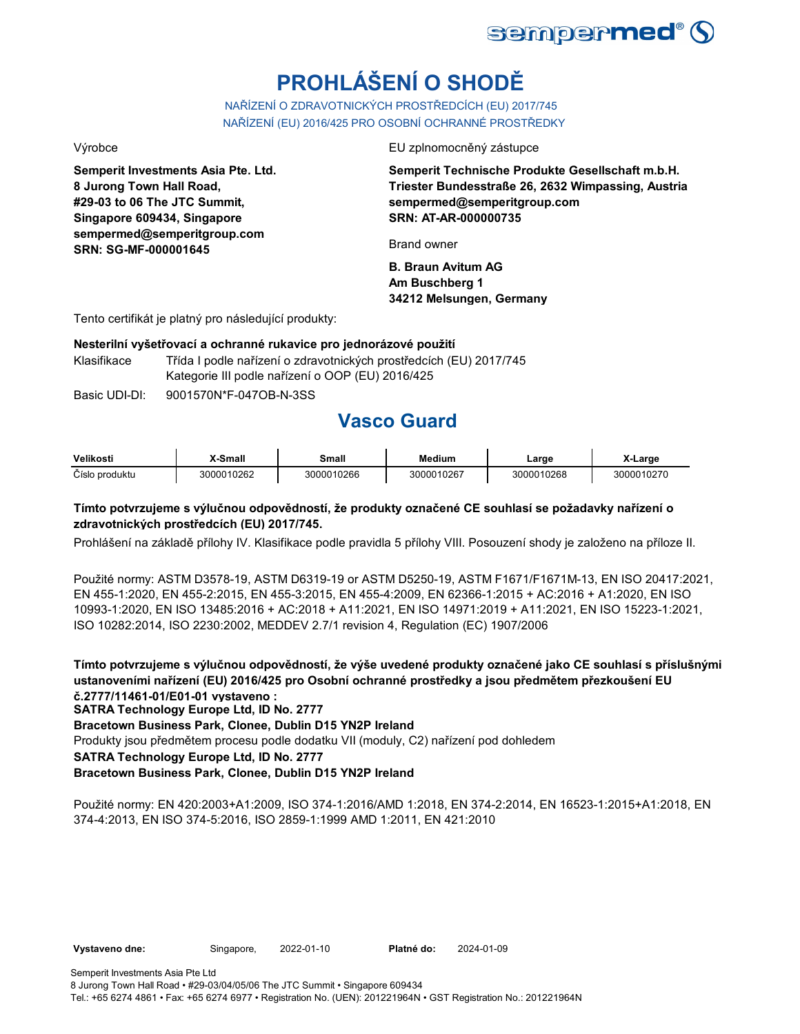

# **PROHLÁŠENÍ O SHODĚ**

NAŘÍZENÍ O ZDRAVOTNICKÝCH PROSTŘEDCÍCH (EU) 2017/745 NAŘÍZENÍ (EU) 2016/425 PRO OSOBNÍ OCHRANNÉ PROSTŘEDKY

**Semperit Investments Asia Pte. Ltd. 8 Jurong Town Hall Road, #29-03 to 06 The JTC Summit, Singapore 609434, Singapore sempermed@semperitgroup.com SRN: SG-MF-000001645**

### Výrobce EU zplnomocněný zástupce

**Semperit Technische Produkte Gesellschaft m.b.H. Triester Bundesstraße 26, 2632 Wimpassing, Austria sempermed@semperitgroup.com SRN: AT-AR-000000735**

Brand owner

**B. Braun Avitum AG Am Buschberg 1 34212 Melsungen, Germany**

Tento certifikát je platný pro následující produkty:

### **Nesterilní vyšetřovací a ochranné rukavice pro jednorázové použití**

Klasifikace Třída I podle nařízení o zdravotnických prostředcích (EU) 2017/745 Kategorie III podle nařízení o OOP (EU) 2016/425

Basic UDI-DI: 9001570N\*F-047OB-N-3SS

## **Vasco Guard**

| Velikosti      | <sup>∨</sup> -Small | Small      | Medium     | ∟arge      | Large      |
|----------------|---------------------|------------|------------|------------|------------|
| Číslo produktu | 3000010262          | 3000010266 | 3000010267 | 3000010268 | 3000010270 |

## **Tímto potvrzujeme s výlučnou odpovědností, že produkty označené CE souhlasí se požadavky nařízení o zdravotnických prostředcích (EU) 2017/745.**

Prohlášení na základě přílohy IV. Klasifikace podle pravidla 5 přílohy VIII. Posouzení shody je založeno na příloze II.

Použité normy: ASTM D3578-19, ASTM D6319-19 or ASTM D5250-19, ASTM F1671/F1671M-13, EN ISO 20417:2021, EN 455-1:2020, EN 455-2:2015, EN 455-3:2015, EN 455-4:2009, EN 62366-1:2015 + AC:2016 + A1:2020, EN ISO 10993-1:2020, EN ISO 13485:2016 + AC:2018 + A11:2021, EN ISO 14971:2019 + A11:2021, EN ISO 15223-1:2021, ISO 10282:2014, ISO 2230:2002, MEDDEV 2.7/1 revision 4, Regulation (EC) 1907/2006

**Tímto potvrzujeme s výlučnou odpovědností, že výše uvedené produkty označené jako CE souhlasí s příslušnými ustanoveními nařízení (EU) 2016/425 pro Osobní ochranné prostředky a jsou předmětem přezkoušení EU č.2777/11461-01/E01-01 vystaveno :**

**SATRA Technology Europe Ltd, ID No. 2777**

**Bracetown Business Park, Clonee, Dublin D15 YN2P Ireland**

Produkty jsou předmětem procesu podle dodatku VII (moduly, C2) nařízení pod dohledem

**SATRA Technology Europe Ltd, ID No. 2777**

## **Bracetown Business Park, Clonee, Dublin D15 YN2P Ireland**

Použité normy: EN 420:2003+A1:2009, ISO 374-1:2016/AMD 1:2018, EN 374-2:2014, EN 16523-1:2015+A1:2018, EN 374-4:2013, EN ISO 374-5:2016, ISO 2859-1:1999 AMD 1:2011, EN 421:2010

**Vystaveno dne:** Singapore, 2022-01-10 **Platné do:** 2024-01-09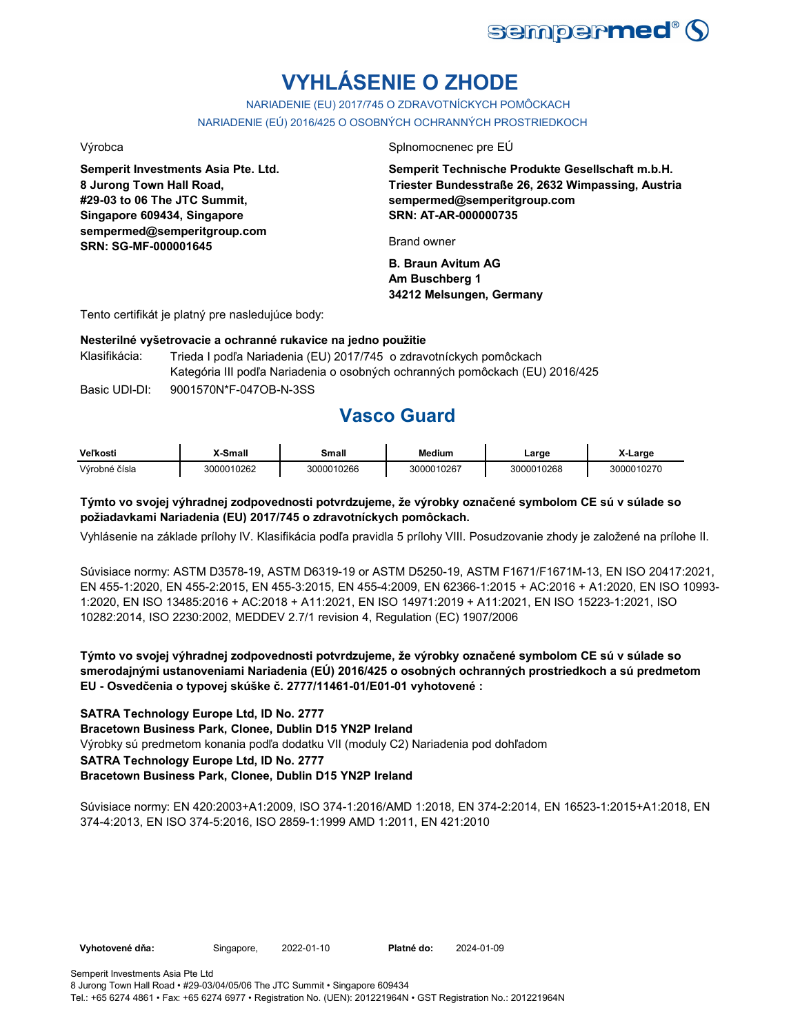

# **VYHLÁSENIE O ZHODE**

NARIADENIE (EU) 2017/745 O ZDRAVOTNÍCKYCH POMÔCKACH NARIADENIE (EÚ) 2016/425 O OSOBNÝCH OCHRANNÝCH PROSTRIEDKOCH

**Semperit Investments Asia Pte. Ltd. 8 Jurong Town Hall Road, #29-03 to 06 The JTC Summit, Singapore 609434, Singapore sempermed@semperitgroup.com SRN: SG-MF-000001645**

Výrobca Splnomocnenec pre EÚ

**Semperit Technische Produkte Gesellschaft m.b.H. Triester Bundesstraße 26, 2632 Wimpassing, Austria sempermed@semperitgroup.com SRN: AT-AR-000000735**

Brand owner

**B. Braun Avitum AG Am Buschberg 1 34212 Melsungen, Germany**

Tento certifikát je platný pre nasledujúce body:

### **Nesterilné vyšetrovacie a ochranné rukavice na jedno použitie**

| Klasifikácia: | Trieda I podľa Nariadenia (EU) 2017/745 o zdravotníckych pomôckach           |
|---------------|------------------------------------------------------------------------------|
|               | Kategória III podľa Nariadenia o osobných ochranných pomôckach (EU) 2016/425 |
| Basic UDI-DI: | 9001570N*F-047OB-N-3SS                                                       |

# **Vasco Guard**

| <b>Veľkosti</b> | X-Small    | Small      | Medium     | Large      | X-Large    |
|-----------------|------------|------------|------------|------------|------------|
| Výrobné čísla   | 3000010262 | 3000010266 | 3000010267 | 3000010268 | 3000010270 |

### **Týmto vo svojej výhradnej zodpovednosti potvrdzujeme, že výrobky označené symbolom CE sú v súlade so požiadavkami Nariadenia (EU) 2017/745 o zdravotníckych pomôckach.**

Vyhlásenie na základe prílohy IV. Klasifikácia podľa pravidla 5 prílohy VIII. Posudzovanie zhody je založené na prílohe II.

Súvisiace normy: ASTM D3578-19, ASTM D6319-19 or ASTM D5250-19, ASTM F1671/F1671M-13, EN ISO 20417:2021, EN 455-1:2020, EN 455-2:2015, EN 455-3:2015, EN 455-4:2009, EN 62366-1:2015 + AC:2016 + A1:2020, EN ISO 10993- 1:2020, EN ISO 13485:2016 + AC:2018 + A11:2021, EN ISO 14971:2019 + A11:2021, EN ISO 15223-1:2021, ISO 10282:2014, ISO 2230:2002, MEDDEV 2.7/1 revision 4, Regulation (EC) 1907/2006

**Týmto vo svojej výhradnej zodpovednosti potvrdzujeme, že výrobky označené symbolom CE sú v súlade so smerodajnými ustanoveniami Nariadenia (EÚ) 2016/425 o osobných ochranných prostriedkoch a sú predmetom EU - Osvedčenia o typovej skúške č. 2777/11461-01/E01-01 vyhotovené :**

### **SATRA Technology Europe Ltd, ID No. 2777**

**Bracetown Business Park, Clonee, Dublin D15 YN2P Ireland**

Výrobky sú predmetom konania podľa dodatku VII (moduly C2) Nariadenia pod dohľadom

### **SATRA Technology Europe Ltd, ID No. 2777**

### **Bracetown Business Park, Clonee, Dublin D15 YN2P Ireland**

Súvisiace normy: EN 420:2003+A1:2009, ISO 374-1:2016/AMD 1:2018, EN 374-2:2014, EN 16523-1:2015+A1:2018, EN 374-4:2013, EN ISO 374-5:2016, ISO 2859-1:1999 AMD 1:2011, EN 421:2010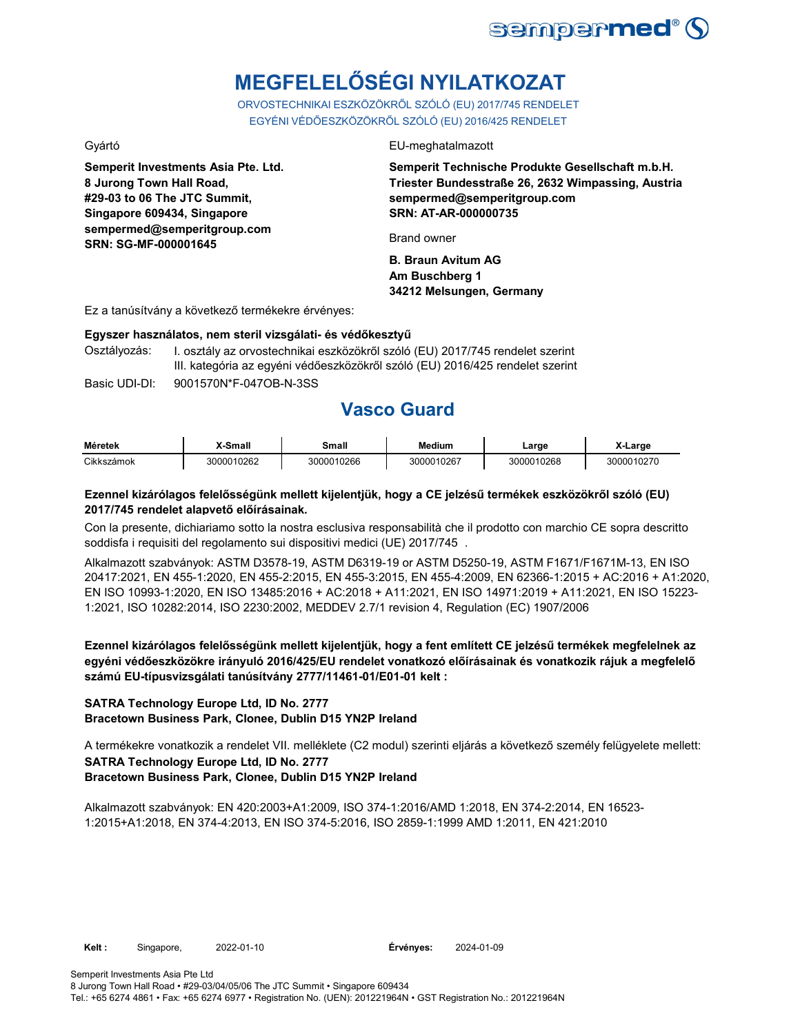

# **MEGFELELŐSÉGI NYILATKOZAT**

ORVOSTECHNIKAI ESZKÖZÖKRŐL SZÓLÓ (EU) 2017/745 RENDELET EGYÉNI VÉDŐESZKÖZÖKRŐL SZÓLÓ (EU) 2016/425 RENDELET

**Semperit Investments Asia Pte. Ltd. 8 Jurong Town Hall Road, #29-03 to 06 The JTC Summit, Singapore 609434, Singapore sempermed@semperitgroup.com SRN: SG-MF-000001645**

### Gyártó EU-meghatalmazott

**Semperit Technische Produkte Gesellschaft m.b.H. Triester Bundesstraße 26, 2632 Wimpassing, Austria sempermed@semperitgroup.com SRN: AT-AR-000000735**

Brand owner

**B. Braun Avitum AG Am Buschberg 1 34212 Melsungen, Germany**

Ez a tanúsítvány a következő termékekre érvényes:

### **Egyszer használatos, nem steril vizsgálati- és védőkesztyű**

Osztályozás: I. osztály az orvostechnikai eszközökről szóló (EU) 2017/745 rendelet szerint III. kategória az egyéni védőeszközökről szóló (EU) 2016/425 rendelet szerint

Basic UDI-DI: 9001570N\*F-047OB-N-3SS

## **Vasco Guard**

| <b>Méretek</b> | -Small     | Small      | <b>Medium</b> | ∟arge      | <b>-Large</b> |
|----------------|------------|------------|---------------|------------|---------------|
| Cikkszámok     | 3000010262 | 3000010266 | 3000010267    | 3000010268 | 3000010270    |

### **Ezennel kizárólagos felelősségünk mellett kijelentjük, hogy a CE jelzésű termékek eszközökről szóló (EU) 2017/745 rendelet alapvető előírásainak.**

Con la presente, dichiariamo sotto la nostra esclusiva responsabilità che il prodotto con marchio CE sopra descritto soddisfa i requisiti del regolamento sui dispositivi medici (UE) 2017/745 .

Alkalmazott szabványok: ASTM D3578-19, ASTM D6319-19 or ASTM D5250-19, ASTM F1671/F1671M-13, EN ISO 20417:2021, EN 455-1:2020, EN 455-2:2015, EN 455-3:2015, EN 455-4:2009, EN 62366-1:2015 + AC:2016 + A1:2020, EN ISO 10993-1:2020, EN ISO 13485:2016 + AC:2018 + A11:2021, EN ISO 14971:2019 + A11:2021, EN ISO 15223- 1:2021, ISO 10282:2014, ISO 2230:2002, MEDDEV 2.7/1 revision 4, Regulation (EC) 1907/2006

**Ezennel kizárólagos felelősségünk mellett kijelentjük, hogy a fent említett CE jelzésű termékek megfelelnek az egyéni védőeszközökre irányuló 2016/425/EU rendelet vonatkozó előírásainak és vonatkozik rájuk a megfelelő számú EU-típusvizsgálati tanúsítvány 2777/11461-01/E01-01 kelt :**

### **SATRA Technology Europe Ltd, ID No. 2777 Bracetown Business Park, Clonee, Dublin D15 YN2P Ireland**

**SATRA Technology Europe Ltd, ID No. 2777 Bracetown Business Park, Clonee, Dublin D15 YN2P Ireland** A termékekre vonatkozik a rendelet VII. melléklete (C2 modul) szerinti eljárás a következő személy felügyelete mellett:

Alkalmazott szabványok: EN 420:2003+A1:2009, ISO 374-1:2016/AMD 1:2018, EN 374-2:2014, EN 16523- 1:2015+A1:2018, EN 374-4:2013, EN ISO 374-5:2016, ISO 2859-1:1999 AMD 1:2011, EN 421:2010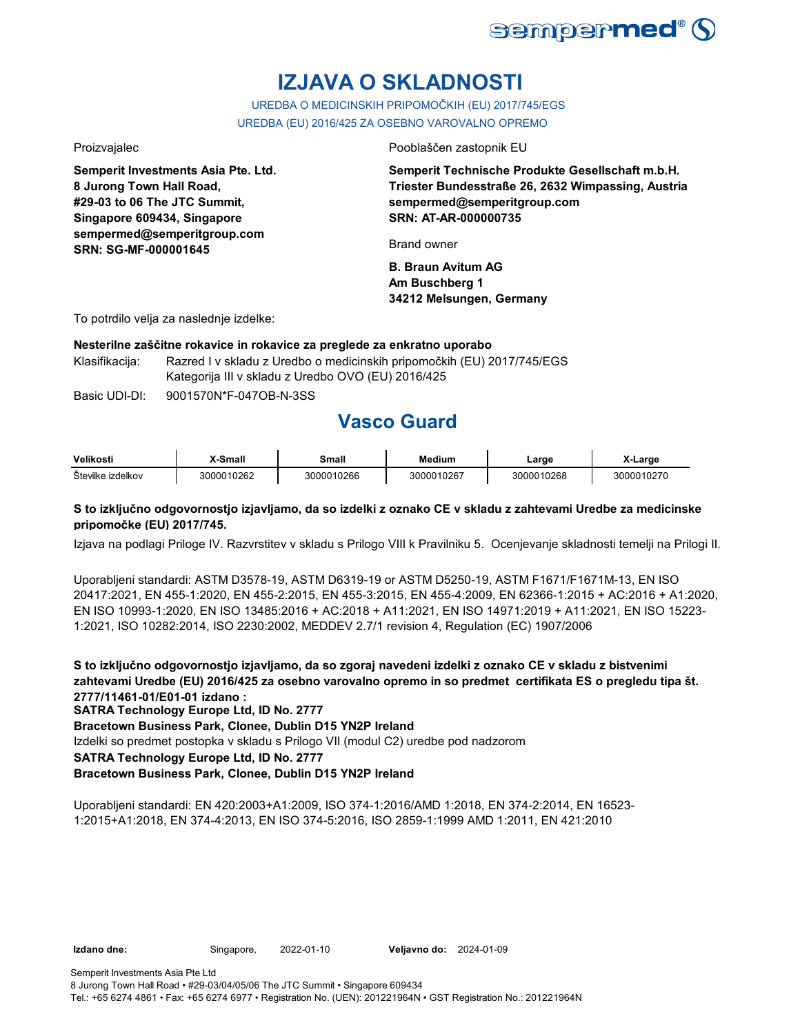

# **IZJAVA O SKLADNOSTI**

UREDBA O MEDICINSKIH PRIPOMOČKIH (EU) 2017/745/EGS UREDBA (EU) 2016/425 ZA OSEBNO VAROVALNO OPREMO

**Semperit Investments Asia Pte. Ltd. 8 Jurong Town Hall Road, #29-03 to 06 The JTC Summit, Singapore 609434, Singapore sempermed@semperitgroup.com SRN: SG-MF-000001645**

Proizvajalec Pooblaščen zastopnik EU

**Semperit Technische Produkte Gesellschaft m.b.H. Triester Bundesstraße 26, 2632 Wimpassing, Austria sempermed@semperitgroup.com SRN: AT-AR-000000735**

Brand owner

**B. Braun Avitum AG Am Buschberg 1 34212 Melsungen, Germany**

To potrdilo velja za naslednje izdelke:

## **Nesterilne zaščitne rokavice in rokavice za preglede za enkratno uporabo**

Klasifikacija: Razred I v skladu z Uredbo o medicinskih pripomočkih (EU) 2017/745/EGS Kategorija III v skladu z Uredbo OVO (EU) 2016/425

Basic UDI-DI: 9001570N\*F-047OB-N-3SS

# **Vasco Guard**

| Velikosti         | X-Small    | <b>Small</b> | Medium          | ∟arge      | X-Large |
|-------------------|------------|--------------|-----------------|------------|---------|
| Številke izdelkov | 3000010262 | 3000010266   | ،00010267<br>ົດ | 3000010268 | 300001  |

### **S to izključno odgovornostjo izjavljamo, da so izdelki z oznako CE v skladu z zahtevami Uredbe za medicinske pripomočke (EU) 2017/745.**

Izjava na podlagi Priloge IV. Razvrstitev v skladu s Prilogo VIII k Pravilniku 5. Ocenjevanje skladnosti temelji na Prilogi II.

Uporabljeni standardi: ASTM D3578-19, ASTM D6319-19 or ASTM D5250-19, ASTM F1671/F1671M-13, EN ISO 20417:2021, EN 455-1:2020, EN 455-2:2015, EN 455-3:2015, EN 455-4:2009, EN 62366-1:2015 + AC:2016 + A1:2020, EN ISO 10993-1:2020, EN ISO 13485:2016 + AC:2018 + A11:2021, EN ISO 14971:2019 + A11:2021, EN ISO 15223- 1:2021, ISO 10282:2014, ISO 2230:2002, MEDDEV 2.7/1 revision 4, Regulation (EC) 1907/2006

**S to izključno odgovornostjo izjavljamo, da so zgoraj navedeni izdelki z oznako CE v skladu z bistvenimi zahtevami Uredbe (EU) 2016/425 za osebno varovalno opremo in so predmet certifikata ES o pregledu tipa št. 2777/11461-01/E01-01 izdano :**

**SATRA Technology Europe Ltd, ID No. 2777**

**Bracetown Business Park, Clonee, Dublin D15 YN2P Ireland**

Izdelki so predmet postopka v skladu s Prilogo VII (modul C2) uredbe pod nadzorom

**SATRA Technology Europe Ltd, ID No. 2777**

## **Bracetown Business Park, Clonee, Dublin D15 YN2P Ireland**

Uporabljeni standardi: EN 420:2003+A1:2009, ISO 374-1:2016/AMD 1:2018, EN 374-2:2014, EN 16523- 1:2015+A1:2018, EN 374-4:2013, EN ISO 374-5:2016, ISO 2859-1:1999 AMD 1:2011, EN 421:2010

**Izdano dne:** Singapore, 2022-01-10 **Veljavno do:** 2024-01-09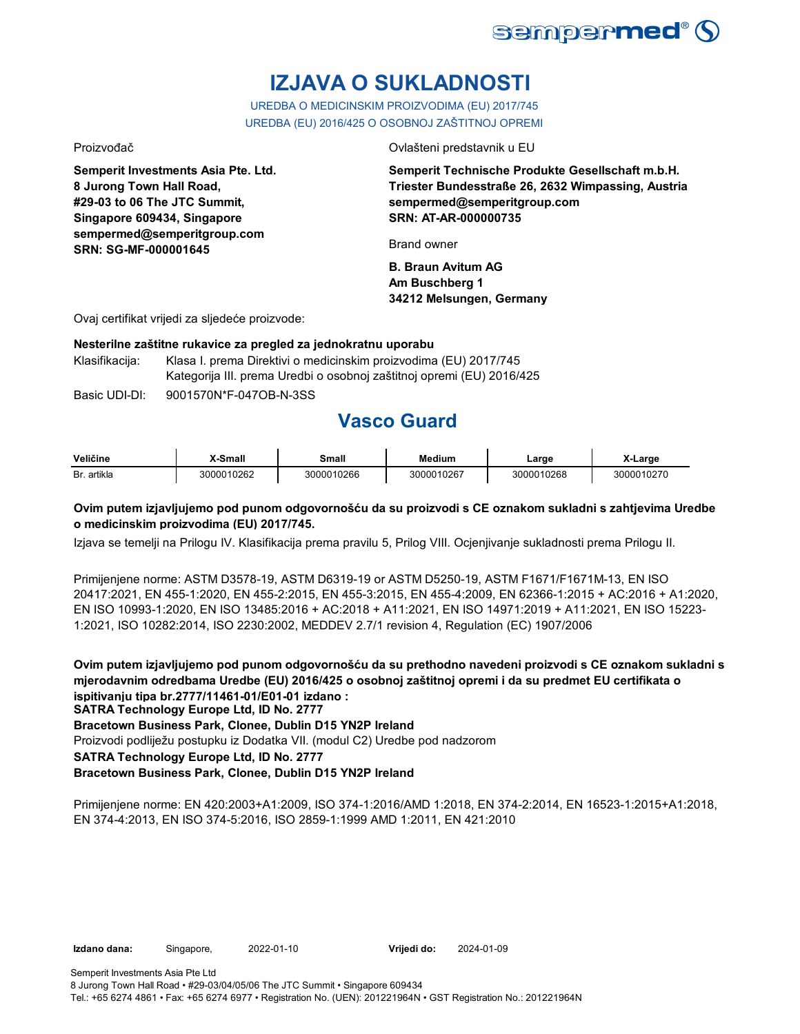

# **IZJAVA O SUKLADNOSTI**

UREDBA O MEDICINSKIM PROIZVODIMA (EU) 2017/745 UREDBA (EU) 2016/425 O OSOBNOJ ZAŠTITNOJ OPREMI

**Semperit Investments Asia Pte. Ltd. 8 Jurong Town Hall Road, #29-03 to 06 The JTC Summit, Singapore 609434, Singapore sempermed@semperitgroup.com SRN: SG-MF-000001645**

Proizvođač Ovlašteni predstavnik u EU

**Semperit Technische Produkte Gesellschaft m.b.H. Triester Bundesstraße 26, 2632 Wimpassing, Austria sempermed@semperitgroup.com SRN: AT-AR-000000735**

Brand owner

**B. Braun Avitum AG Am Buschberg 1 34212 Melsungen, Germany**

Ovaj certifikat vrijedi za sljedeće proizvode:

### **Nesterilne zaštitne rukavice za pregled za jednokratnu uporabu**

Klasifikacija: Klasa I. prema Direktivi o medicinskim proizvodima (EU) 2017/745 Kategorija III. prema Uredbi o osobnoj zaštitnoj opremi (EU) 2016/425

Basic UDI-DI: 9001570N\*F-047OB-N-3SS

# **Vasco Guard**

| Veličine    | X-Small    | Small      | Medium     | ∟arɑe      | ∡-Large |
|-------------|------------|------------|------------|------------|---------|
| Br. artikla | 3000010262 | 3000010266 | 3000010267 | 3000010268 | 3000011 |

## **Ovim putem izjavljujemo pod punom odgovornošću da su proizvodi s CE oznakom sukladni s zahtjevima Uredbe o medicinskim proizvodima (EU) 2017/745.**

Izjava se temelji na Prilogu IV. Klasifikacija prema pravilu 5, Prilog VIII. Ocjenjivanje sukladnosti prema Prilogu II.

Primijenjene norme: ASTM D3578-19, ASTM D6319-19 or ASTM D5250-19, ASTM F1671/F1671M-13, EN ISO 20417:2021, EN 455-1:2020, EN 455-2:2015, EN 455-3:2015, EN 455-4:2009, EN 62366-1:2015 + AC:2016 + A1:2020, EN ISO 10993-1:2020, EN ISO 13485:2016 + AC:2018 + A11:2021, EN ISO 14971:2019 + A11:2021, EN ISO 15223- 1:2021, ISO 10282:2014, ISO 2230:2002, MEDDEV 2.7/1 revision 4, Regulation (EC) 1907/2006

**Ovim putem izjavljujemo pod punom odgovornošću da su prethodno navedeni proizvodi s CE oznakom sukladni s mjerodavnim odredbama Uredbe (EU) 2016/425 o osobnoj zaštitnoj opremi i da su predmet EU certifikata o ispitivanju tipa br.2777/11461-01/E01-01 izdano :**

**SATRA Technology Europe Ltd, ID No. 2777**

**Bracetown Business Park, Clonee, Dublin D15 YN2P Ireland**

Proizvodi podliježu postupku iz Dodatka VII. (modul C2) Uredbe pod nadzorom

**SATRA Technology Europe Ltd, ID No. 2777**

## **Bracetown Business Park, Clonee, Dublin D15 YN2P Ireland**

Primijenjene norme: EN 420:2003+A1:2009, ISO 374-1:2016/AMD 1:2018, EN 374-2:2014, EN 16523-1:2015+A1:2018, EN 374-4:2013, EN ISO 374-5:2016, ISO 2859-1:1999 AMD 1:2011, EN 421:2010

**Izdano dana:** Singapore, 2022-01-10 **Vrijedi do:** 2024-01-09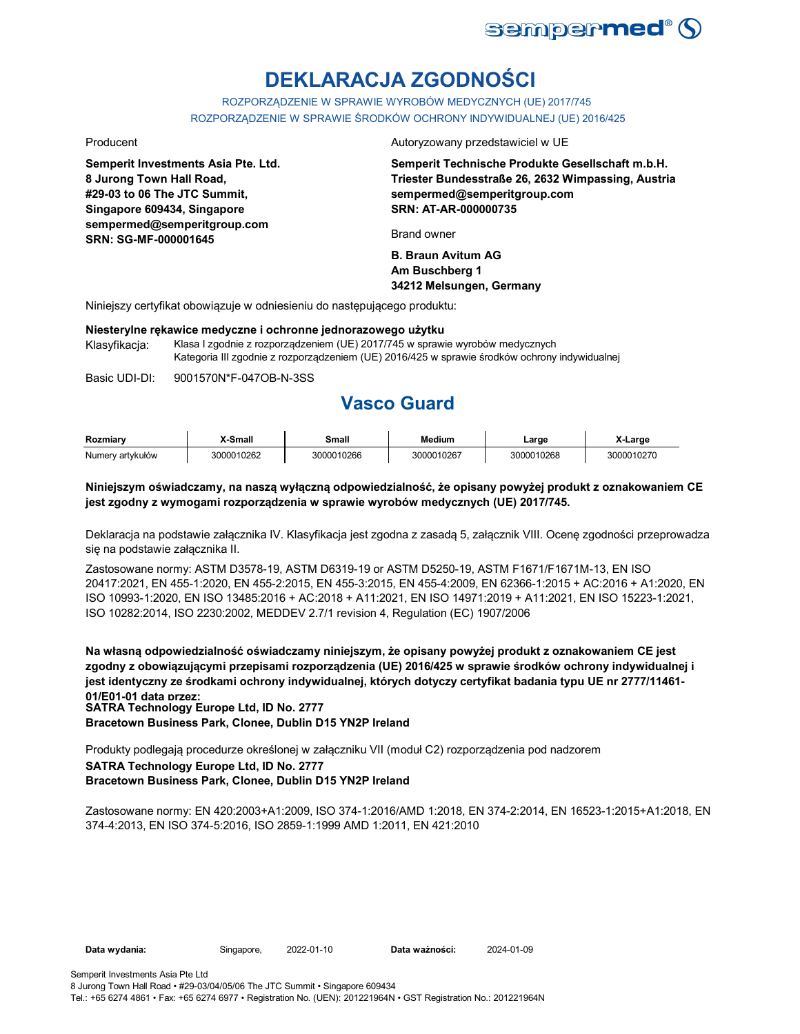

# **DEKLARACJA ZGODNOŚCI**

ROZPORZĄDZENIE W SPRAWIE WYROBÓW MEDYCZNYCH (UE) 2017/745 ROZPORZĄDZENIE W SPRAWIE ŚRODKÓW OCHRONY INDYWIDUALNEJ (UE) 2016/425

**Semperit Investments Asia Pte. Ltd. 8 Jurong Town Hall Road, #29-03 to 06 The JTC Summit, Singapore 609434, Singapore sempermed@semperitgroup.com SRN: SG-MF-000001645**

Producent **Autoryzowany przedstawiciel w UE** 

**Semperit Technische Produkte Gesellschaft m.b.H. Triester Bundesstraße 26, 2632 Wimpassing, Austria sempermed@semperitgroup.com SRN: AT-AR-000000735**

Brand owner

**B. Braun Avitum AG Am Buschberg 1 34212 Melsungen, Germany**

Niniejszy certyfikat obowiązuje w odniesieniu do następującego produktu:

### **Niesterylne rękawice medyczne i ochronne jednorazowego użytku**

Klasyfikacja: Klasa I zgodnie z rozporządzeniem (UE) 2017/745 w sprawie wyrobów medycznych Kategoria III zgodnie z rozporządzeniem (UE) 2016/425 w sprawie środków ochrony indywidualnej

Basic UDI-DI: 9001570N\*F-047OB-N-3SS

# **Vasco Guard**

| Rozmiarv         | X-Small    | Small      | <b>Medium</b> | Large      | X-Large    |
|------------------|------------|------------|---------------|------------|------------|
| Numerv artvkułów | 3000010262 | 3000010266 | 3000010267    | 3000010268 | 3000010270 |

### **Niniejszym oświadczamy, na naszą wyłączną odpowiedzialność, że opisany powyżej produkt z oznakowaniem CE jest zgodny z wymogami rozporządzenia w sprawie wyrobów medycznych (UE) 2017/745.**

Deklaracja na podstawie załącznika IV. Klasyfikacja jest zgodna z zasadą 5, załącznik VIII. Ocenę zgodności przeprowadza się na podstawie załącznika II.

Zastosowane normy: ASTM D3578-19, ASTM D6319-19 or ASTM D5250-19, ASTM F1671/F1671M-13, EN ISO 20417:2021, EN 455-1:2020, EN 455-2:2015, EN 455-3:2015, EN 455-4:2009, EN 62366-1:2015 + AC:2016 + A1:2020, EN ISO 10993-1:2020, EN ISO 13485:2016 + AC:2018 + A11:2021, EN ISO 14971:2019 + A11:2021, EN ISO 15223-1:2021, ISO 10282:2014, ISO 2230:2002, MEDDEV 2.7/1 revision 4, Regulation (EC) 1907/2006

**Na własną odpowiedzialność oświadczamy niniejszym, że opisany powyżej produkt z oznakowaniem CE jest zgodny z obowiązującymi przepisami rozporządzenia (UE) 2016/425 w sprawie środków ochrony indywidualnej i jest identyczny ze środkami ochrony indywidualnej, których dotyczy certyfikat badania typu UE nr 2777/11461- 01/E01-01 data przez:**

**SATRA Technology Europe Ltd, ID No. 2777**

**Bracetown Business Park, Clonee, Dublin D15 YN2P Ireland**

**SATRA Technology Europe Ltd, ID No. 2777 Bracetown Business Park, Clonee, Dublin D15 YN2P Ireland** Produkty podlegają procedurze określonej w załączniku VII (moduł C2) rozporządzenia pod nadzorem

Zastosowane normy: EN 420:2003+A1:2009, ISO 374-1:2016/AMD 1:2018, EN 374-2:2014, EN 16523-1:2015+A1:2018, EN 374-4:2013, EN ISO 374-5:2016, ISO 2859-1:1999 AMD 1:2011, EN 421:2010

**Data wydania:** Singapore, 2022-01-10 **Data ważności:** 2024-01-09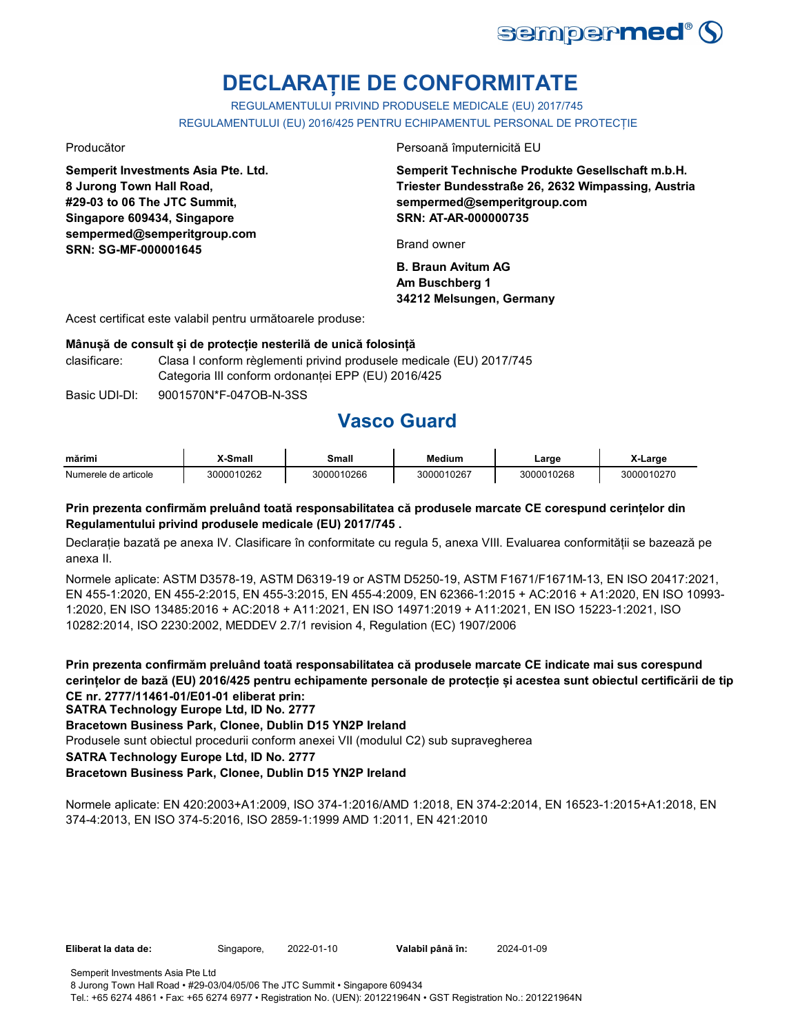

# **DECLARAȚIE DE CONFORMITATE**

REGULAMENTULUI PRIVIND PRODUSELE MEDICALE (EU) 2017/745 REGULAMENTULUI (EU) 2016/425 PENTRU ECHIPAMENTUL PERSONAL DE PROTECȚIE

**Semperit Investments Asia Pte. Ltd. 8 Jurong Town Hall Road, #29-03 to 06 The JTC Summit, Singapore 609434, Singapore sempermed@semperitgroup.com SRN: SG-MF-000001645**

Producător Persoană împuternicită EU

**Semperit Technische Produkte Gesellschaft m.b.H. Triester Bundesstraße 26, 2632 Wimpassing, Austria sempermed@semperitgroup.com SRN: AT-AR-000000735**

Brand owner

**B. Braun Avitum AG Am Buschberg 1 34212 Melsungen, Germany**

Acest certificat este valabil pentru următoarele produse:

### **Mânușă de consult și de protecție nesterilă de unică folosință**

clasificare: Clasa I conform règlementi privind produsele medicale (EU) 2017/745 Categoria III conform ordonanței EPP (EU) 2016/425

Basic UDI-DI: 9001570N\*F-047OB-N-3SS

# **Vasco Guard**

| mārimi               | -Small     | small      | Medium     | ∟arge      | Larɑe      |
|----------------------|------------|------------|------------|------------|------------|
| Numerele de articole | 3000010262 | 3000010266 | 3000010267 | 3000010268 | 3000010270 |

### **Prin prezenta confirmăm preluând toată responsabilitatea că produsele marcate CE corespund cerințelor din Regulamentului privind produsele medicale (EU) 2017/745 .**

Declarație bazată pe anexa IV. Clasificare în conformitate cu regula 5, anexa VIII. Evaluarea conformității se bazează pe anexa II.

Normele aplicate: ASTM D3578-19, ASTM D6319-19 or ASTM D5250-19, ASTM F1671/F1671M-13, EN ISO 20417:2021, EN 455-1:2020, EN 455-2:2015, EN 455-3:2015, EN 455-4:2009, EN 62366-1:2015 + AC:2016 + A1:2020, EN ISO 10993- 1:2020, EN ISO 13485:2016 + AC:2018 + A11:2021, EN ISO 14971:2019 + A11:2021, EN ISO 15223-1:2021, ISO 10282:2014, ISO 2230:2002, MEDDEV 2.7/1 revision 4, Regulation (EC) 1907/2006

**Prin prezenta confirmăm preluând toată responsabilitatea că produsele marcate CE indicate mai sus corespund cerințelor de bază (EU) 2016/425 pentru echipamente personale de protecție și acestea sunt obiectul certificării de tip CE nr. 2777/11461-01/E01-01 eliberat prin:**

**SATRA Technology Europe Ltd, ID No. 2777**

**Bracetown Business Park, Clonee, Dublin D15 YN2P Ireland**

Produsele sunt obiectul procedurii conform anexei VII (modulul C2) sub supravegherea

**SATRA Technology Europe Ltd, ID No. 2777**

## **Bracetown Business Park, Clonee, Dublin D15 YN2P Ireland**

Normele aplicate: EN 420:2003+A1:2009, ISO 374-1:2016/AMD 1:2018, EN 374-2:2014, EN 16523-1:2015+A1:2018, EN 374-4:2013, EN ISO 374-5:2016, ISO 2859-1:1999 AMD 1:2011, EN 421:2010

**Eliberat la data de:** Singapore, 2022-01-10 **Valabil până în:** 2024-01-09

Semperit Investments Asia Pte Ltd 8 Jurong Town Hall Road • #29-03/04/05/06 The JTC Summit • Singapore 609434 Tel.: +65 6274 4861 • Fax: +65 6274 6977 • Registration No. (UEN): 201221964N • GST Registration No.: 201221964N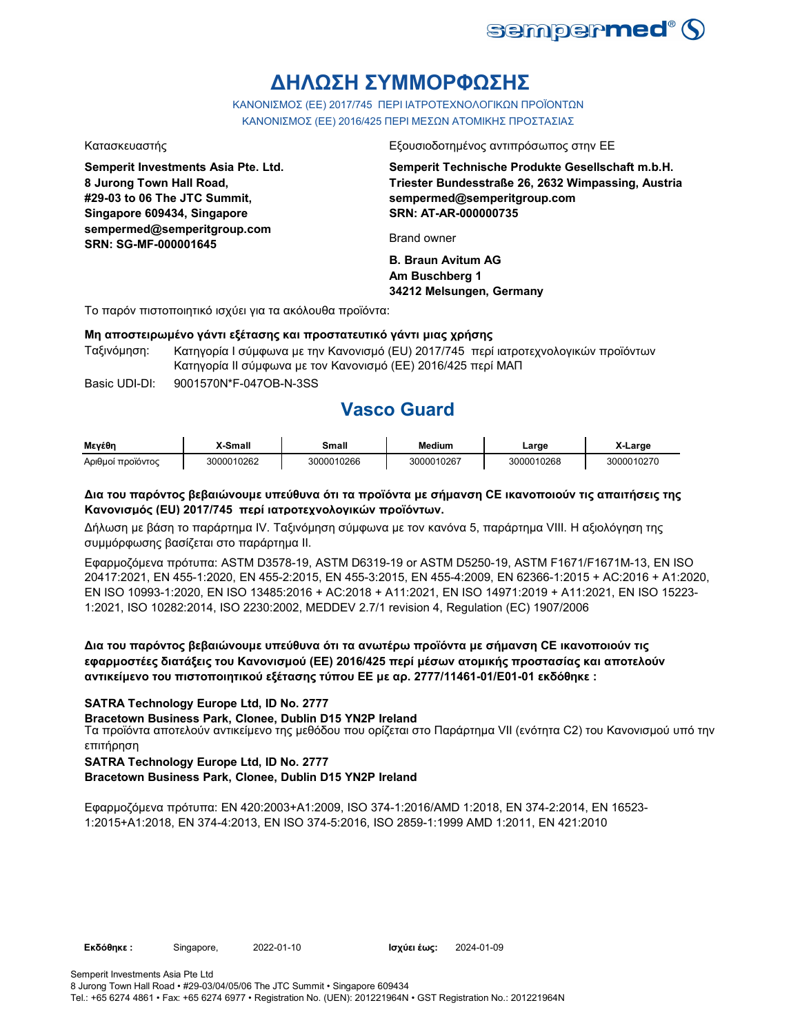

# **ΔΗΛΩΣΗ ΣΥΜΜΟΡΦΩΣΗΣ**

ΚΑΝΟΝΙΣΜΟΣ (EE) 2017/745 ΠΕΡΙ ΙΑΤΡΟΤΕΧΝΟΛΟΓΙΚΩΝ ΠΡΟΪΟΝΤΩΝ ΚΑΝΟΝΙΣΜΟΣ (ΕΕ) 2016/425 ΠΕΡΙ ΜΕΣΩΝ ΑΤΟΜΙΚΗΣ ΠΡΟΣΤΑΣΙΑΣ

**Semperit Investments Asia Pte. Ltd. 8 Jurong Town Hall Road, #29-03 to 06 The JTC Summit, Singapore 609434, Singapore sempermed@semperitgroup.com SRN: SG-MF-000001645**

Κατασκευαστής Εξουσιοδοτημένος αντιπρόσωπος στην ΕΕ

**Semperit Technische Produkte Gesellschaft m.b.H. Triester Bundesstraße 26, 2632 Wimpassing, Austria sempermed@semperitgroup.com SRN: AT-AR-000000735**

Brand owner

**B. Braun Avitum AG Am Buschberg 1 34212 Melsungen, Germany**

Το παρόν πιστοποιητικό ισχύει για τα ακόλουθα προϊόντα:

### **Μη αποστειρωμένο γάντι εξέτασης και προστατευτικό γάντι μιας χρήσης**

Ταξινόμηση: Κατηγορία I σύμφωνα με την Κανονισμό (EU) 2017/745 περί ιατροτεχνολογικών προϊόντων Κατηγορία II σύμφωνα με τον Κανονισμό (ΕΕ) 2016/425 περί ΜΑΠ

Basic UDI-DI: 9001570N\*F-047OB-N-3SS

## **Vasco Guard**

| Μενέθη            | K-Small    | Small      | Medium     | ∟arge      | X-Large    |
|-------------------|------------|------------|------------|------------|------------|
| Αριθμοί προϊόντος | 3000010262 | 3000010266 | 3000010267 | 3000010268 | 3000010270 |

### **Δια του παρόντος βεβαιώνουμε υπεύθυνα ότι τα προϊόντα με σήμανση CE ικανοποιούν τις απαιτήσεις της Κανονισμός (EU) 2017/745 περί ιατροτεχνολογικών προϊόντων.**

Δήλωση με βάση το παράρτημα IV. Ταξινόμηση σύμφωνα με τον κανόνα 5, παράρτημα VIII. Η αξιολόγηση της συμμόρφωσης βασίζεται στο παράρτημα II.

Εφαρμοζόμενα πρότυπα: ASTM D3578-19, ASTM D6319-19 or ASTM D5250-19, ASTM F1671/F1671M-13, EN ISO 20417:2021, EN 455-1:2020, EN 455-2:2015, EN 455-3:2015, EN 455-4:2009, EN 62366-1:2015 + AC:2016 + A1:2020, EN ISO 10993-1:2020, EN ISO 13485:2016 + AC:2018 + A11:2021, EN ISO 14971:2019 + A11:2021, EN ISO 15223- 1:2021, ISO 10282:2014, ISO 2230:2002, MEDDEV 2.7/1 revision 4, Regulation (EC) 1907/2006

## **Δια του παρόντος βεβαιώνουμε υπεύθυνα ότι τα ανωτέρω προϊόντα με σήμανση CE ικανοποιούν τις εφαρμοστέες διατάξεις του Κανονισμού (ΕΕ) 2016/425 περί μέσων ατομικής προστασίας και αποτελούν αντικείμενο του πιστοποιητικού εξέτασης τύπου ΕΕ με αρ. 2777/11461-01/E01-01 εκδόθηκε :**

### **SATRA Technology Europe Ltd, ID No. 2777**

**Bracetown Business Park, Clonee, Dublin D15 YN2P Ireland**

Τα προϊόντα αποτελούν αντικείμενο της μεθόδου που ορίζεται στο Παράρτημα VII (ενότητα C2) του Κανονισμού υπό την επιτήρηση

### **SATRA Technology Europe Ltd, ID No. 2777**

**Bracetown Business Park, Clonee, Dublin D15 YN2P Ireland**

Εφαρμοζόμενα πρότυπα: EN 420:2003+A1:2009, ISO 374-1:2016/AMD 1:2018, EN 374-2:2014, EN 16523- 1:2015+A1:2018, EN 374-4:2013, EN ISO 374-5:2016, ISO 2859-1:1999 AMD 1:2011, EN 421:2010

**Εκδόθηκε :** Singapore, 2022-01-10 **Ισχύει έως:** 2024-01-09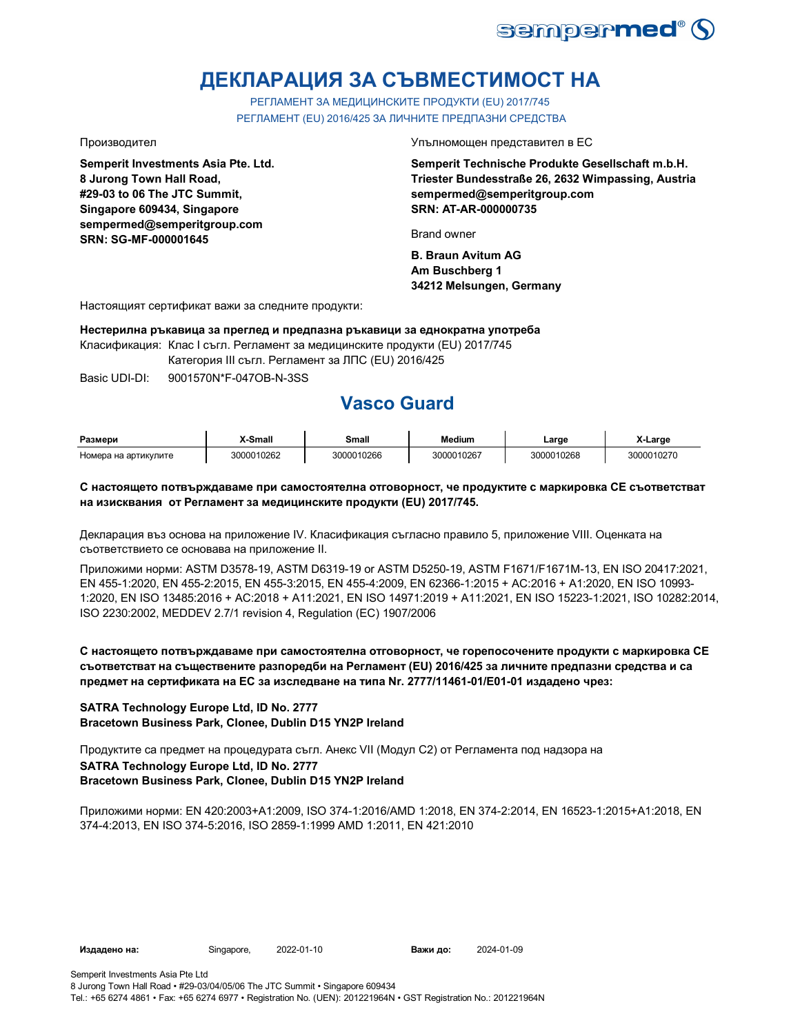

# **ДЕКЛАРАЦИЯ ЗА СЪВМЕСТИМОСТ НА**

РЕГЛАМЕНТ ЗА МЕДИЦИНСКИТЕ ПРОДУКТИ (EU) 2017/745 РЕГЛАМЕНТ (EU) 2016/425 ЗА ЛИЧНИТЕ ПРЕДПАЗНИ СРЕДСТВА

**Semperit Investments Asia Pte. Ltd. 8 Jurong Town Hall Road, #29-03 to 06 The JTC Summit, Singapore 609434, Singapore sempermed@semperitgroup.com SRN: SG-MF-000001645**

Производител Упълномощен представител в ЕС

**Semperit Technische Produkte Gesellschaft m.b.H. Triester Bundesstraße 26, 2632 Wimpassing, Austria sempermed@semperitgroup.com SRN: AT-AR-000000735**

Brand owner

**B. Braun Avitum AG Am Buschberg 1 34212 Melsungen, Germany**

Настоящият сертификат важи за следните продукти:

**Нестерилна ръкавица за преглед и предпазна ръкавици за еднократна употреба**

Класификация: Клас I съгл. Регламент за медицинските продукти (EU) 2017/745

Категория III съгл. Регламент за ЛПС (EU) 2016/425

Basic UDI-DI: 9001570N\*F-047OB-N-3SS

# **Vasco Guard**

| Размери              | -Small          | Small      | Medium     | _arge      | $\ddot{\phantom{0}}$<br>X-Large |
|----------------------|-----------------|------------|------------|------------|---------------------------------|
| Номера на артикулите | 0010262<br>∩∩∩פ | 3000010266 | 3000010267 | 3000010268 | 3000010270                      |

### **С настоящето потвърждаваме при самостоятелна отговорност, че продуктите с маркировка СЕ съответстват на изисквания от Регламент за медицинските продукти (EU) 2017/745.**

Декларация въз основа на приложение IV. Класификация съгласно правило 5, приложение VIII. Оценката на съответствието се основава на приложение II.

Приложими норми: ASTM D3578-19, ASTM D6319-19 or ASTM D5250-19, ASTM F1671/F1671M-13, EN ISO 20417:2021, EN 455-1:2020, EN 455-2:2015, EN 455-3:2015, EN 455-4:2009, EN 62366-1:2015 + AC:2016 + A1:2020, EN ISO 10993- 1:2020, EN ISO 13485:2016 + AC:2018 + A11:2021, EN ISO 14971:2019 + A11:2021, EN ISO 15223-1:2021, ISO 10282:2014, ISO 2230:2002, MEDDEV 2.7/1 revision 4, Regulation (EC) 1907/2006

## **С настоящето потвърждаваме при самостоятелна отговорност, че горепосочените продукти с маркировка СЕ съответстват на съществените разпоредби на Регламент (EU) 2016/425 за личните предпазни средства и са предмет на сертификата на ЕС за изследване на типа Nr. 2777/11461-01/E01-01 издадено чрез:**

### **SATRA Technology Europe Ltd, ID No. 2777 Bracetown Business Park, Clonee, Dublin D15 YN2P Ireland**

**SATRA Technology Europe Ltd, ID No. 2777 Bracetown Business Park, Clonee, Dublin D15 YN2P Ireland** Продуктите са предмет на процедурата съгл. Анекс VII (Модул С2) от Регламента под надзора на

Приложими норми: EN 420:2003+A1:2009, ISO 374-1:2016/AMD 1:2018, EN 374-2:2014, EN 16523-1:2015+A1:2018, EN 374-4:2013, EN ISO 374-5:2016, ISO 2859-1:1999 AMD 1:2011, EN 421:2010

**Издадено на:** Singapore, 2022-01-10 **Важи до:** 2024-01-09